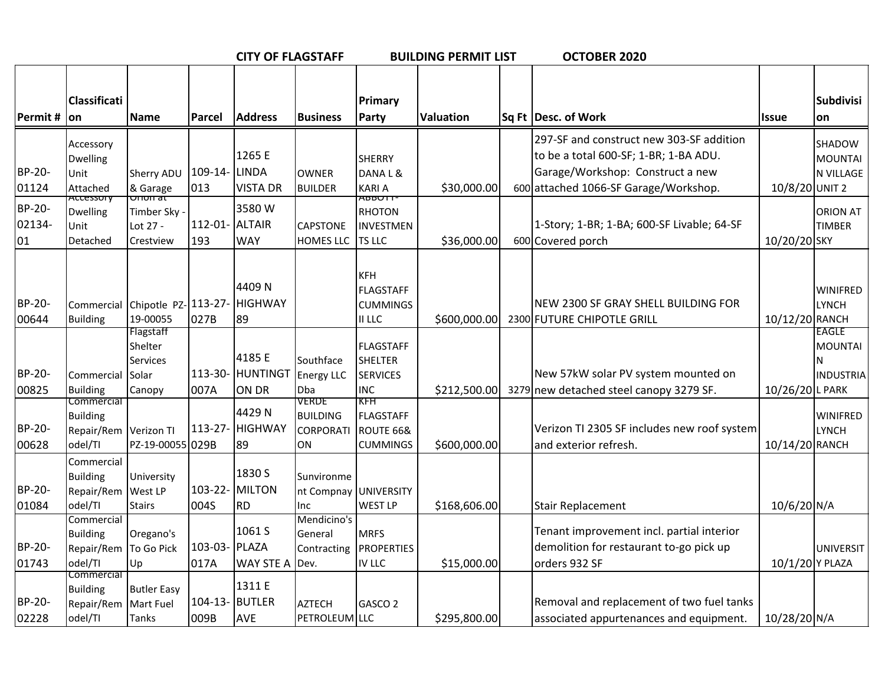|                        |                                                                   |                                                            |                        | <b>CITY OF FLAGSTAFF</b>       |                                                                 |                                                       | <b>BUILDING PERMIT LIST</b> | OCTOBER 2020                                                                                                                                                   |                 |                                                  |
|------------------------|-------------------------------------------------------------------|------------------------------------------------------------|------------------------|--------------------------------|-----------------------------------------------------------------|-------------------------------------------------------|-----------------------------|----------------------------------------------------------------------------------------------------------------------------------------------------------------|-----------------|--------------------------------------------------|
| Permit $#$ on          | <b>Classificati</b>                                               | <b>Name</b>                                                | Parcel                 | <b>Address</b>                 | <b>Business</b>                                                 | Primary<br><b>Party</b>                               | <b>Valuation</b>            | Sq Ft   Desc. of Work                                                                                                                                          | <b>Issue</b>    | Subdivisi<br>lon                                 |
| BP-20-<br>01124        | Accessory<br>Dwelling<br>Unit<br>Attached                         | Sherry ADU<br>& Garage                                     | 109-14- LINDA<br>013   | 1265 E<br><b>VISTA DR</b>      | <b>OWNER</b><br><b>BUILDER</b>                                  | <b>SHERRY</b><br>DANAL&<br><b>KARIA</b>               | \$30,000.00                 | 297-SF and construct new 303-SF addition<br>to be a total 600-SF; 1-BR; 1-BA ADU.<br>Garage/Workshop: Construct a new<br>600 attached 1066-SF Garage/Workshop. | 10/8/20 UNIT 2  | SHADOW<br><b>MOUNTAI</b><br>N VILLAGE            |
| BP-20-<br>02134-<br>01 | Accessory<br><b>Dwelling</b><br>Unit<br>Detached                  | unun at<br>Timber Sky -<br>Lot 27 -<br>Crestview           | 112-01- ALTAIR<br>193  | 3580W<br><b>WAY</b>            | <b>CAPSTONE</b><br>HOMES LLC                                    | ADDUTT<br><b>RHOTON</b><br>INVESTMEN<br><b>TS LLC</b> | \$36,000.00                 | 1-Story; 1-BR; 1-BA; 600-SF Livable; 64-SF<br>600 Covered porch                                                                                                | 10/20/20 SKY    | ORION AT<br><b>TIMBER</b>                        |
| BP-20-<br>00644        | Commercial<br>Building                                            | Chipotle PZ-113-27-<br>19-00055                            | 027B                   | 4409 N<br><b>HIGHWAY</b><br>89 |                                                                 | <b>KFH</b><br>FLAGSTAFF<br><b>CUMMINGS</b><br>II LLC  | \$600,000.00                | NEW 2300 SF GRAY SHELL BUILDING FOR<br>2300 FUTURE CHIPOTLE GRILL                                                                                              | 10/12/20 RANCH  | WINIFRED<br><b>LYNCH</b>                         |
| BP-20-<br>00825        | Commercial<br><b>Building</b>                                     | Flagstaff<br>Shelter<br><b>Services</b><br>Solar<br>Canopy | 113-30-<br>007A        | 4185 E<br>HUNTINGT<br>ON DR    | Southface<br><b>Energy LLC</b><br><b>Dba</b>                    | <b>FLAGSTAFF</b><br>SHELTER<br>SERVICES<br>INC        | \$212,500.00                | New 57kW solar PV system mounted on<br>3279 new detached steel canopy 3279 SF.                                                                                 | 10/26/20 L PARK | EAGLE<br><b>MOUNTAI</b><br>N<br><b>INDUSTRIA</b> |
| BP-20-<br>00628        | Commercial<br><b>Building</b><br>Repair/Rem Verizon TI<br>odel/TI | PZ-19-00055 029B                                           | 113-27-                | 4429N<br><b>HIGHWAY</b><br>89  | <b>VERDE</b><br><b>BUILDING</b><br><b>CORPORATI</b><br>ON       | KFH<br>FLAGSTAFF<br>ROUTE 66&<br><b>CUMMINGS</b>      | \$600,000.00                | Verizon TI 2305 SF includes new roof system<br>and exterior refresh.                                                                                           | 10/14/20 RANCH  | <b>WINIFRED</b><br><b>LYNCH</b>                  |
| BP-20-<br>01084        | Commercial<br><b>Building</b><br>Repair/Rem<br>odel/TI            | University<br>West LP<br><b>Stairs</b>                     | $103 - 22 -$<br>004S   | 1830 S<br>MILTON<br><b>RD</b>  | Sunvironme<br>nt Compnay UNIVERSITY<br><b>Inc</b>               | <b>WEST LP</b>                                        | \$168,606.00                | <b>Stair Replacement</b>                                                                                                                                       | 10/6/20 N/A     |                                                  |
| BP-20-<br>01743        | Commercial<br><b>Building</b><br>Repair/Rem To Go Pick<br>odel/TI | Oregano's<br>Up                                            | 103-03- PLAZA<br>017A  | 1061 S<br><b>WAY STE A</b>     | Mendicino's<br>General<br>Contracting <b>PROPERTIES</b><br>Dev. | <b>MRFS</b><br><b>IV LLC</b>                          | \$15,000.00                 | Tenant improvement incl. partial interior<br>demolition for restaurant to-go pick up<br>orders 932 SF                                                          | 10/1/20 Y PLAZA | <b>UNIVERSIT</b>                                 |
| BP-20-<br>02228        | Commercial<br><b>Building</b><br>Repair/Rem<br>odel/TI            | <b>Butler Easy</b><br>Mart Fuel<br>Tanks                   | 104-13- BUTLER<br>009B | 1311 E<br><b>AVE</b>           | <b>AZTECH</b><br>PETROLEUM LLC                                  | GASCO <sub>2</sub>                                    | \$295,800.00                | Removal and replacement of two fuel tanks<br>associated appurtenances and equipment.                                                                           | 10/28/20 N/A    |                                                  |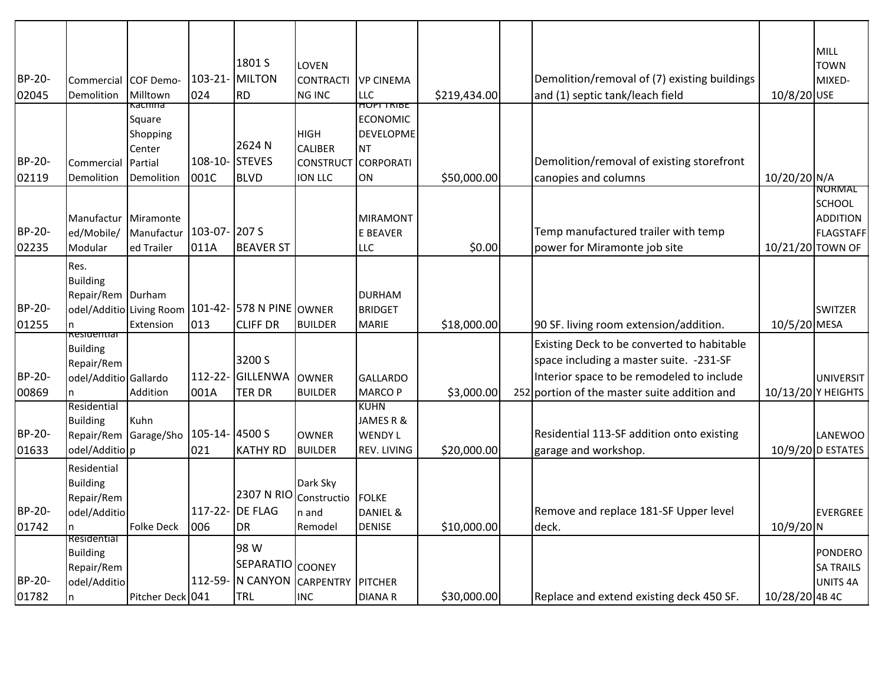|        |                               |                                                     |               |                  |                   |                                      |              |                                              |                  | <b>MILL</b>                        |
|--------|-------------------------------|-----------------------------------------------------|---------------|------------------|-------------------|--------------------------------------|--------------|----------------------------------------------|------------------|------------------------------------|
|        |                               |                                                     |               | 1801 S           | LOVEN             |                                      |              |                                              |                  | <b>TOWN</b>                        |
| BP-20- | Commercial COF Demo-          |                                                     |               | 103-21-MILTON    | <b>CONTRACTI</b>  | VP CINEMA                            |              | Demolition/removal of (7) existing buildings |                  | MIXED-                             |
| 02045  | Demolition                    | Milltown                                            | 024           | <b>RD</b>        | <b>NG INC</b>     | <b>LLC</b>                           | \$219,434.00 | and (1) septic tank/leach field              | 10/8/20 USE      |                                    |
|        |                               | Kachina                                             |               |                  |                   | <b>HUPI TRIBE</b><br><b>ECONOMIC</b> |              |                                              |                  |                                    |
|        |                               | Square<br>Shopping                                  |               |                  | <b>HIGH</b>       | <b>DEVELOPME</b>                     |              |                                              |                  |                                    |
|        |                               | Center                                              |               | 2624 N           | <b>CALIBER</b>    | <b>NT</b>                            |              |                                              |                  |                                    |
| BP-20- | Commercial                    | Partial                                             | 108-10-       | <b>STEVES</b>    | <b>CONSTRUCT</b>  | CORPORATI                            |              | Demolition/removal of existing storefront    |                  |                                    |
| 02119  | Demolition                    | <b>Demolition</b>                                   | 001C          | <b>BLVD</b>      | <b>ION LLC</b>    | ON                                   | \$50,000.00  | canopies and columns                         | 10/20/20 N/A     |                                    |
|        |                               |                                                     |               |                  |                   |                                      |              |                                              |                  | <u>NORMAL</u>                      |
|        | Manufactur                    | Miramonte                                           |               |                  |                   | MIRAMONT                             |              |                                              |                  | <b>SCHOOL</b><br><b>ADDITION</b>   |
| BP-20- | ed/Mobile/                    | Manufactur                                          | 103-07-207 S  |                  |                   | E BEAVER                             |              | Temp manufactured trailer with temp          |                  | <b>FLAGSTAFF</b>                   |
| 02235  | Modular                       | ed Trailer                                          | 011A          | <b>BEAVER ST</b> |                   | <b>LLC</b>                           | \$0.00       | power for Miramonte job site                 | 10/21/20 TOWN OF |                                    |
|        | Res.                          |                                                     |               |                  |                   |                                      |              |                                              |                  |                                    |
|        | <b>Building</b>               |                                                     |               |                  |                   |                                      |              |                                              |                  |                                    |
|        | Repair/Rem Durham             |                                                     |               |                  |                   | <b>DURHAM</b>                        |              |                                              |                  |                                    |
| BP-20- |                               | odel/Additio Living Room   101-42- 578 N PINE OWNER |               |                  |                   | <b>BRIDGET</b>                       |              |                                              |                  | <b>SWITZER</b>                     |
| 01255  | <del>kesidentiai</del>        | Extension                                           | 013           | <b>CLIFF DR</b>  | <b>BUILDER</b>    | <b>MARIE</b>                         | \$18,000.00  | 90 SF. living room extension/addition.       | 10/5/20 MESA     |                                    |
|        | <b>Building</b>               |                                                     |               |                  |                   |                                      |              | Existing Deck to be converted to habitable   |                  |                                    |
|        | Repair/Rem                    |                                                     |               | 3200 S           |                   |                                      |              | space including a master suite. -231-SF      |                  |                                    |
| BP-20- | odel/Additio Gallardo         |                                                     |               | 112-22- GILLENWA | <b>OWNER</b>      | GALLARDO                             |              | Interior space to be remodeled to include    |                  | <b>UNIVERSIT</b>                   |
| 00869  |                               | Addition                                            | 001A          | <b>TER DR</b>    | <b>BUILDER</b>    | MARCO P                              | \$3,000.00   | 252 portion of the master suite addition and |                  | 10/13/20 Y HEIGHTS                 |
|        | Residential                   |                                                     |               |                  |                   | <b>KUHN</b>                          |              |                                              |                  |                                    |
| BP-20- | <b>Building</b><br>Repair/Rem | Kuhn<br>Garage/Sho                                  | 105-14-4500 S |                  | <b>OWNER</b>      | JAMES R &<br><b>WENDY L</b>          |              | Residential 113-SF addition onto existing    |                  | LANEWOO                            |
| 01633  | odel/Additio p                |                                                     | 021           | <b>KATHY RD</b>  | <b>BUILDER</b>    | <b>REV. LIVING</b>                   | \$20,000.00  | garage and workshop.                         |                  | $10/9/20$ D ESTATES                |
|        | Residential                   |                                                     |               |                  |                   |                                      |              |                                              |                  |                                    |
|        | <b>Building</b>               |                                                     |               |                  | Dark Sky          |                                      |              |                                              |                  |                                    |
|        | Repair/Rem                    |                                                     |               | 2307 N RIO       | Constructio       | FOLKE                                |              |                                              |                  |                                    |
| BP-20- | odel/Additio                  |                                                     |               | 117-22- DE FLAG  | n and             | DANIEL &                             |              | Remove and replace 181-SF Upper level        |                  | EVERGREE                           |
| 01742  | n                             | Folke Deck                                          | 006           | <b>DR</b>        | Remodel           | <b>DENISE</b>                        | \$10,000.00  | deck.                                        | $10/9/20$ N      |                                    |
|        | Residential                   |                                                     |               | 98 W             |                   |                                      |              |                                              |                  |                                    |
|        | <b>Building</b><br>Repair/Rem |                                                     |               | <b>SEPARATIO</b> | <b>COONEY</b>     |                                      |              |                                              |                  | <b>PONDERO</b><br><b>SA TRAILS</b> |
| BP-20- | odel/Additio                  |                                                     |               | 112-59- N CANYON | CARPENTRY PITCHER |                                      |              |                                              |                  | <b>UNITS 4A</b>                    |
| 01782  | n                             | Pitcher Deck 041                                    |               | TRL              | <b>INC</b>        | <b>DIANAR</b>                        | \$30,000.00  | Replace and extend existing deck 450 SF.     | 10/28/20 4B 4C   |                                    |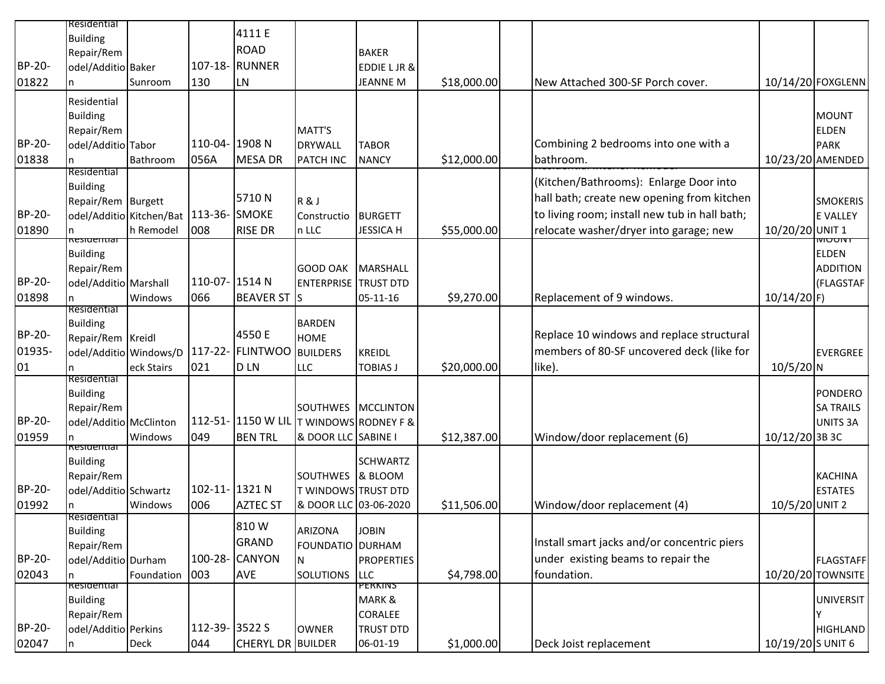|               | Residential            |                          |                |                                         |                             |                        |             |                                               |                   |                   |
|---------------|------------------------|--------------------------|----------------|-----------------------------------------|-----------------------------|------------------------|-------------|-----------------------------------------------|-------------------|-------------------|
|               | <b>Building</b>        |                          |                | 4111 E                                  |                             |                        |             |                                               |                   |                   |
|               |                        |                          |                | <b>ROAD</b>                             |                             |                        |             |                                               |                   |                   |
|               | Repair/Rem             |                          |                |                                         |                             | <b>BAKER</b>           |             |                                               |                   |                   |
| BP-20-        | odel/Additio Baker     |                          |                | 107-18- RUNNER                          |                             | <b>EDDIE LJR &amp;</b> |             |                                               |                   |                   |
| 01822         |                        | Sunroom                  | 130            | LN                                      |                             | <b>JEANNE M</b>        | \$18,000.00 | New Attached 300-SF Porch cover.              |                   | 10/14/20 FOXGLENN |
|               | Residential            |                          |                |                                         |                             |                        |             |                                               |                   |                   |
|               | <b>Building</b>        |                          |                |                                         |                             |                        |             |                                               |                   | MOUNT             |
|               |                        |                          |                |                                         |                             |                        |             |                                               |                   |                   |
|               | Repair/Rem             |                          |                |                                         | MATT'S                      |                        |             |                                               |                   | <b>ELDEN</b>      |
| BP-20-        | odel/Additio Tabor     |                          | 110-04- 1908 N |                                         | <b>DRYWALL</b>              | <b>TABOR</b>           |             | Combining 2 bedrooms into one with a          |                   | PARK              |
| 01838         | n                      | Bathroom                 | 056A           | <b>MESA DR</b>                          | PATCH INC                   | <b>NANCY</b>           | \$12,000.00 | bathroom.                                     |                   | 10/23/20 AMENDED  |
|               | Residential            |                          |                |                                         |                             |                        |             | (Kitchen/Bathrooms): Enlarge Door into        |                   |                   |
|               | <b>Building</b>        |                          |                |                                         |                             |                        |             |                                               |                   |                   |
|               | Repair/Rem Burgett     |                          |                | 5710N                                   | R&J                         |                        |             | hall bath; create new opening from kitchen    |                   | <b>SMOKERIS</b>   |
| BP-20-        |                        | odel/Additio Kitchen/Bat | 113-36- SMOKE  |                                         | Constructio                 | <b>BURGETT</b>         |             | to living room; install new tub in hall bath; |                   | <b>E VALLEY</b>   |
| 01890         |                        | h Remodel                | 008            | <b>RISE DR</b>                          | n LLC                       | <b>JESSICA H</b>       | \$55,000.00 | relocate washer/dryer into garage; new        | 10/20/20 UNIT 1   |                   |
|               | hesiueritiai           |                          |                |                                         |                             |                        |             |                                               |                   | וזוטטוזו          |
|               | <b>Building</b>        |                          |                |                                         |                             |                        |             |                                               |                   | <b>ELDEN</b>      |
|               | Repair/Rem             |                          |                |                                         | <b>GOOD OAK</b>             | MARSHALL               |             |                                               |                   | <b>ADDITION</b>   |
| BP-20-        | odel/Additio Marshall  |                          | 110-07- 1514 N |                                         | <b>ENTERPRISE TRUST DTD</b> |                        |             |                                               |                   | (FLAGSTAF         |
| 01898         |                        | Windows                  | 066            | <b>BEAVER ST S</b>                      |                             | 05-11-16               | \$9,270.00  | Replacement of 9 windows.                     | $10/14/20$ F)     |                   |
|               | Residential            |                          |                |                                         |                             |                        |             |                                               |                   |                   |
|               | <b>Building</b>        |                          |                |                                         | <b>BARDEN</b>               |                        |             |                                               |                   |                   |
| BP-20-        | Repair/Rem Kreidl      |                          |                | 4550 E                                  | <b>HOME</b>                 |                        |             | Replace 10 windows and replace structural     |                   |                   |
| 01935-        | odel/Additio Windows/D |                          |                | 117-22- FLINTWOO                        | <b>BUILDERS</b>             | KREIDL                 |             | members of 80-SF uncovered deck (like for     |                   | EVERGREE          |
|               |                        |                          |                |                                         |                             |                        |             |                                               |                   |                   |
| 01            | n<br>Residential       | eck Stairs               | 021            | <b>DLN</b>                              | LLC                         | <b>TOBIAS J</b>        | \$20,000.00 | like).                                        | $10/5/20$ N       |                   |
|               | <b>Building</b>        |                          |                |                                         |                             |                        |             |                                               |                   | PONDERO           |
|               |                        |                          |                |                                         |                             |                        |             |                                               |                   |                   |
|               | Repair/Rem             |                          |                |                                         | SOUTHWES MCCLINTON          |                        |             |                                               |                   | <b>SA TRAILS</b>  |
| <b>BP-20-</b> | odel/Additio McClinton |                          |                | 112-51- 1150 W LIL T WINDOWS RODNEY F & |                             |                        |             |                                               |                   | UNITS 3A          |
| 01959         |                        | Windows                  | 049            | <b>BEN TRL</b>                          | & DOOR LLC SABINE I         |                        | \$12,387.00 | Window/door replacement (6)                   | 10/12/20 3B 3C    |                   |
|               | <del>kesidentiar</del> |                          |                |                                         |                             |                        |             |                                               |                   |                   |
|               | <b>Building</b>        |                          |                |                                         |                             | <b>SCHWARTZ</b>        |             |                                               |                   |                   |
|               | Repair/Rem             |                          |                |                                         | SOUTHWES & BLOOM            |                        |             |                                               |                   | <b>KACHINA</b>    |
| BP-20-        | odel/Additio Schwartz  |                          | 102-11- 1321 N |                                         | T WINDOWS TRUST DTD         |                        |             |                                               |                   | <b>ESTATES</b>    |
| 01992         |                        | Windows                  | 006            | <b>AZTEC ST</b>                         | & DOOR LLC 03-06-2020       |                        | \$11,506.00 | Window/door replacement (4)                   | 10/5/20 UNIT 2    |                   |
|               | Residential            |                          |                |                                         |                             |                        |             |                                               |                   |                   |
|               | <b>Building</b>        |                          |                | 810W                                    | <b>ARIZONA</b>              | <b>JOBIN</b>           |             |                                               |                   |                   |
|               | Repair/Rem             |                          |                | <b>GRAND</b>                            | <b>FOUNDATIO DURHAM</b>     |                        |             | Install smart jacks and/or concentric piers   |                   |                   |
| BP-20-        | odel/Additio Durham    |                          |                | 100-28- CANYON                          | IN.                         | PROPERTIES             |             | under existing beams to repair the            |                   | <b>FLAGSTAFF</b>  |
| 02043         | n                      | Foundation               | 003            | <b>AVE</b>                              | SOLUTIONS LLC               |                        | \$4,798.00  | foundation.                                   |                   | 10/20/20 TOWNSITE |
|               | Residential            |                          |                |                                         |                             | <b>PERKINS</b>         |             |                                               |                   |                   |
|               | <b>Building</b>        |                          |                |                                         |                             | MARK &                 |             |                                               |                   | UNIVERSIT         |
|               | Repair/Rem             |                          |                |                                         |                             | <b>CORALEE</b>         |             |                                               |                   |                   |
| BP-20-        | odel/Additio Perkins   |                          | 112-39- 3522 S |                                         | <b>OWNER</b>                | <b>TRUST DTD</b>       |             |                                               |                   | <b>HIGHLAND</b>   |
| 02047         | n                      | <b>Deck</b>              | 044            | CHERYL DR BUILDER                       |                             | 06-01-19               | \$1,000.00  | Deck Joist replacement                        | 10/19/20 S UNIT 6 |                   |
|               |                        |                          |                |                                         |                             |                        |             |                                               |                   |                   |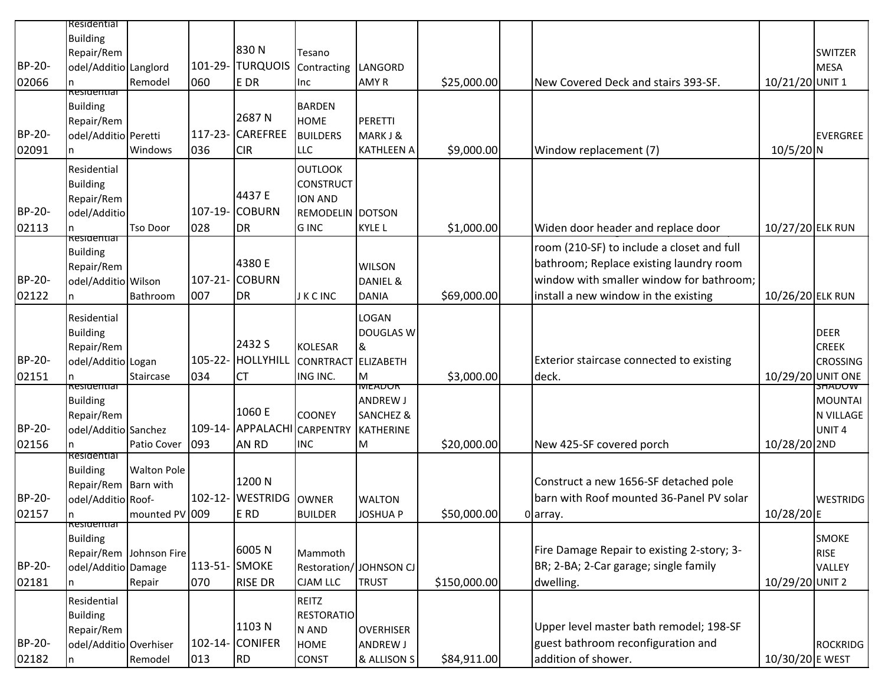|               | Residential                               |                         |               |                        |                         |                                  |              |                                            |                   |                          |
|---------------|-------------------------------------------|-------------------------|---------------|------------------------|-------------------------|----------------------------------|--------------|--------------------------------------------|-------------------|--------------------------|
|               | <b>Building</b>                           |                         |               |                        |                         |                                  |              |                                            |                   |                          |
|               | Repair/Rem                                |                         |               | 830N                   | Tesano                  |                                  |              |                                            |                   | <b>SWITZER</b>           |
| <b>BP-20-</b> | odel/Additio Langlord                     |                         |               | 101-29- TURQUOIS       | Contracting LANGORD     |                                  |              |                                            |                   | MESA                     |
| 02066         | kesidentiai                               | Remodel                 | 060           | E DR                   | Inc                     | AMY R                            | \$25,000.00  | New Covered Deck and stairs 393-SF.        | 10/21/20 UNIT 1   |                          |
|               | <b>Building</b>                           |                         |               |                        | <b>BARDEN</b>           |                                  |              |                                            |                   |                          |
|               | Repair/Rem                                |                         |               | 2687N                  | <b>HOME</b>             | PERETTI                          |              |                                            |                   |                          |
| BP-20-        | odel/Additio Peretti                      |                         |               | 117-23- CAREFREE       | <b>BUILDERS</b>         | MARK J &                         |              |                                            |                   | EVERGREE                 |
| 02091         |                                           | Windows                 | 036           | <b>CIR</b>             | LLC                     | <b>KATHLEEN A</b>                | \$9,000.00   | Window replacement (7)                     | $10/5/20$ N       |                          |
|               | Residential                               |                         |               |                        | <b>OUTLOOK</b>          |                                  |              |                                            |                   |                          |
|               | <b>Building</b>                           |                         |               |                        | <b>CONSTRUCT</b>        |                                  |              |                                            |                   |                          |
|               | Repair/Rem                                |                         |               | 4437 E                 | <b>ION AND</b>          |                                  |              |                                            |                   |                          |
| <b>BP-20-</b> | odel/Additio                              |                         |               | 107-19- COBURN         | REMODELIN DOTSON        |                                  |              |                                            |                   |                          |
| 02113         | kesidentiai                               | <b>Tso Door</b>         | 028           | DR                     | <b>GINC</b>             | KYLE L                           | \$1,000.00   | Widen door header and replace door         | 10/27/20 ELK RUN  |                          |
|               | <b>Building</b>                           |                         |               |                        |                         |                                  |              | room (210-SF) to include a closet and full |                   |                          |
|               | Repair/Rem                                |                         |               | 4380 E                 |                         | <b>WILSON</b>                    |              | bathroom; Replace existing laundry room    |                   |                          |
| BP-20-        | odel/Additio Wilson                       |                         |               | 107-21- COBURN         |                         | DANIEL &                         |              | window with smaller window for bathroom;   |                   |                          |
| 02122         |                                           | Bathroom                | 007           | <b>DR</b>              | <b>JKCINC</b>           | <b>DANIA</b>                     | \$69,000.00  | install a new window in the existing       | 10/26/20 ELK RUN  |                          |
|               | Residential                               |                         |               |                        |                         | <b>LOGAN</b>                     |              |                                            |                   |                          |
|               | <b>Building</b>                           |                         |               |                        |                         | DOUGLAS W                        |              |                                            |                   | DEER                     |
|               | Repair/Rem                                |                         |               | 2432 S                 | <b>KOLESAR</b>          | 8                                |              |                                            |                   | <b>CREEK</b>             |
| BP-20-        | odel/Additio Logan                        |                         |               | 105-22- HOLLYHILL      | CONRTRACT ELIZABETH     |                                  |              | Exterior staircase connected to existing   |                   | <b>CROSSING</b>          |
| 02151         |                                           | Staircase               | 034           | <b>CT</b>              | ING INC.                | Iм                               | \$3,000.00   | deck.                                      | 10/29/20 UNIT ONE |                          |
|               | <del>kesidentiar</del><br><b>Building</b> |                         |               |                        |                         | <b>MEADOR</b><br><b>ANDREW J</b> |              |                                            |                   | <b>SHADUW</b><br>MOUNTAI |
|               | Repair/Rem                                |                         |               | 1060 E                 | <b>COONEY</b>           | <b>SANCHEZ&amp;</b>              |              |                                            |                   | N VILLAGE                |
| <b>BP-20-</b> | odel/Additio Sanchez                      |                         |               | 109-14- APPALACHI      | <b>CARPENTRY</b>        | KATHERINE                        |              |                                            |                   | UNIT <sub>4</sub>        |
| 02156         |                                           | Patio Cover             | 093           | AN RD                  | <b>INC</b>              | IМ                               | \$20,000.00  | New 425-SF covered porch                   | 10/28/20 2ND      |                          |
|               | Residential                               |                         |               |                        |                         |                                  |              |                                            |                   |                          |
|               | <b>Building</b>                           | <b>Walton Pole</b>      |               | 1200 N                 |                         |                                  |              | Construct a new 1656-SF detached pole      |                   |                          |
| BP-20-        | Repair/Rem Barn with                      |                         |               | 102-12- WESTRIDG OWNER |                         |                                  |              | barn with Roof mounted 36-Panel PV solar   |                   |                          |
| 02157         | odel/Additio Roof-<br>In.                 | mounted PV 009          |               | E RD                   | <b>BUILDER</b>          | <b>WALTON</b><br>JOSHUA P        | \$50,000.00  | 0 array.                                   | 10/28/20E         | <b>WESTRIDG</b>          |
|               | <del>kesidentiar</del>                    |                         |               |                        |                         |                                  |              |                                            |                   |                          |
|               | <b>Building</b>                           |                         |               |                        |                         |                                  |              |                                            |                   | SMOKE                    |
|               |                                           | Repair/Rem Johnson Fire |               | 6005N                  | Mammoth                 |                                  |              | Fire Damage Repair to existing 2-story; 3- |                   | <b>RISE</b>              |
| BP-20-        | odel/Additio Damage                       |                         | 113-51- SMOKE |                        | Restoration/ JOHNSON CJ |                                  |              | BR; 2-BA; 2-Car garage; single family      |                   | <b>VALLEY</b>            |
| 02181         |                                           | Repair                  | 070           | <b>RISE DR</b>         | <b>CJAM LLC</b>         | <b>TRUST</b>                     | \$150,000.00 | dwelling.                                  | 10/29/20 UNIT 2   |                          |
|               | Residential                               |                         |               |                        | REITZ                   |                                  |              |                                            |                   |                          |
|               | Building                                  |                         |               | 1103N                  | <b>RESTORATIO</b>       |                                  |              | Upper level master bath remodel; 198-SF    |                   |                          |
| BP-20-        | Repair/Rem                                |                         |               | 102-14- CONIFER        | N AND                   | <b>OVERHISER</b>                 |              | guest bathroom reconfiguration and         |                   |                          |
|               | odel/Additio Overhiser                    |                         |               |                        | <b>HOME</b>             | ANDREW J                         |              |                                            |                   | ROCKRIDG                 |
| 02182         |                                           | Remodel                 | 013           | <b>RD</b>              | <b>CONST</b>            | & ALLISON S                      | \$84,911.00  | addition of shower.                        | 10/30/20 E WEST   |                          |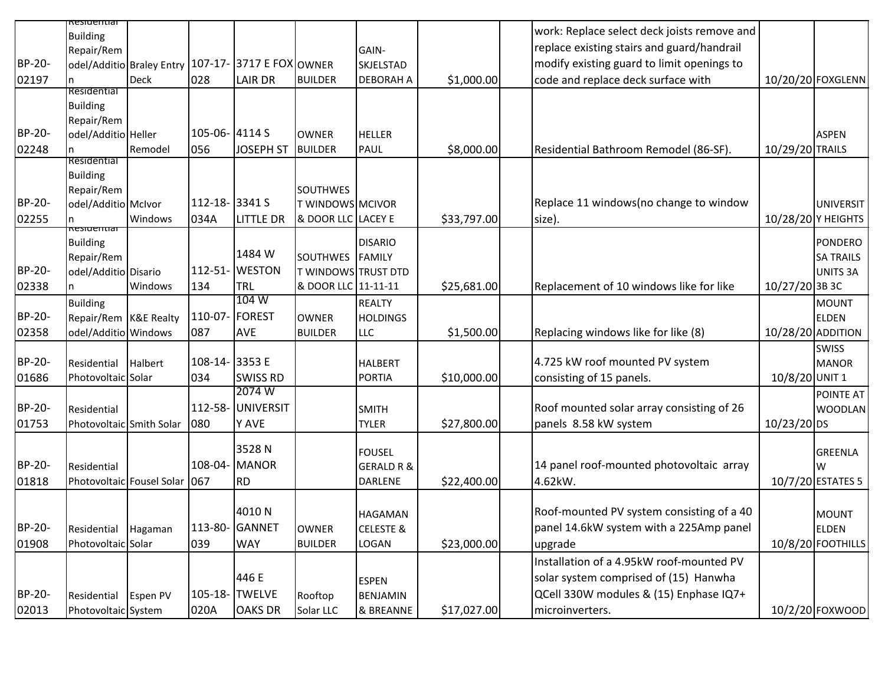|        | <del>kesideritiai</del>           |                                                    |                |                   |                            |                       |             |                                             |                 |                    |
|--------|-----------------------------------|----------------------------------------------------|----------------|-------------------|----------------------------|-----------------------|-------------|---------------------------------------------|-----------------|--------------------|
|        | <b>Building</b>                   |                                                    |                |                   |                            |                       |             | work: Replace select deck joists remove and |                 |                    |
|        | Repair/Rem                        |                                                    |                |                   |                            | GAIN-                 |             | replace existing stairs and guard/handrail  |                 |                    |
| BP-20- |                                   | odel/Additio Braley Entry 107-17- 3717 E FOX OWNER |                |                   |                            | SKJELSTAD             |             | modify existing guard to limit openings to  |                 |                    |
| 02197  | n                                 | <b>Deck</b>                                        | 028            | <b>LAIR DR</b>    | <b>BUILDER</b>             | <b>DEBORAH A</b>      | \$1,000.00  | code and replace deck surface with          |                 | 10/20/20 FOXGLENN  |
|        | Residential                       |                                                    |                |                   |                            |                       |             |                                             |                 |                    |
|        | <b>Building</b>                   |                                                    |                |                   |                            |                       |             |                                             |                 |                    |
|        | Repair/Rem                        |                                                    |                |                   |                            |                       |             |                                             |                 |                    |
| BP-20- | odel/Additio Heller               |                                                    | 105-06-4114 S  |                   | <b>OWNER</b>               | <b>HELLER</b>         |             |                                             |                 | <b>ASPEN</b>       |
| 02248  |                                   | Remodel                                            | 056            | <b>JOSEPH ST</b>  | <b>BUILDER</b>             | PAUL                  | \$8,000.00  | Residential Bathroom Remodel (86-SF).       | 10/29/20 TRAILS |                    |
|        | Residential                       |                                                    |                |                   |                            |                       |             |                                             |                 |                    |
|        | <b>Building</b>                   |                                                    |                |                   | <b>SOUTHWES</b>            |                       |             |                                             |                 |                    |
| BP-20- | Repair/Rem<br>odel/Additio McIvor |                                                    | 112-18-3341 S  |                   | T WINDOWS MCIVOR           |                       |             | Replace 11 windows(no change to window      |                 | <b>UNIVERSIT</b>   |
| 02255  |                                   | Windows                                            | 034A           | <b>LITTLE DR</b>  | & DOOR LLC LACEY E         |                       | \$33,797.00 | size).                                      |                 | 10/28/20 Y HEIGHTS |
|        | nesiueritiai                      |                                                    |                |                   |                            |                       |             |                                             |                 |                    |
|        | <b>Building</b>                   |                                                    |                |                   |                            | <b>DISARIO</b>        |             |                                             |                 | <b>PONDERO</b>     |
|        | Repair/Rem                        |                                                    |                | 1484 W            | SOUTHWES FAMILY            |                       |             |                                             |                 | <b>SA TRAILS</b>   |
| BP-20- | odel/Additio Disario              |                                                    |                | 112-51- WESTON    | <b>T WINDOWS TRUST DTD</b> |                       |             |                                             |                 | <b>UNITS 3A</b>    |
| 02338  |                                   | Windows                                            | 134            | TRL               | & DOOR LLC 11-11-11        |                       | \$25,681.00 | Replacement of 10 windows like for like     | 10/27/20 3B 3C  |                    |
|        | <b>Building</b>                   |                                                    |                | 104 W             |                            | <b>REALTY</b>         |             |                                             |                 | <b>MOUNT</b>       |
| BP-20- | Repair/Rem K&E Realty             |                                                    |                | 110-07- FOREST    | <b>OWNER</b>               | <b>HOLDINGS</b>       |             |                                             |                 | <b>ELDEN</b>       |
| 02358  | odel/Additio Windows              |                                                    | 087            | AVE               | <b>BUILDER</b>             | LLC                   | \$1,500.00  | Replacing windows like for like (8)         |                 | 10/28/20 ADDITION  |
|        |                                   |                                                    |                |                   |                            |                       |             |                                             |                 | <b>SWISS</b>       |
| BP-20- | Residential                       | Halbert                                            | 108-14- 3353 E |                   |                            | <b>HALBERT</b>        |             | 4.725 kW roof mounted PV system             |                 | <b>MANOR</b>       |
| 01686  | Photovoltaic Solar                |                                                    | 034            | <b>SWISS RD</b>   |                            | PORTIA                | \$10,000.00 | consisting of 15 panels.                    | 10/8/20 UNIT 1  |                    |
|        |                                   |                                                    |                | 2074W             |                            |                       |             |                                             |                 | POINTE AT          |
| BP-20- | Residential                       |                                                    |                | 112-58- UNIVERSIT |                            | <b>SMITH</b>          |             | Roof mounted solar array consisting of 26   |                 | <b>WOODLAN</b>     |
| 01753  | Photovoltaic Smith Solar          |                                                    | 080            | Y AVE             |                            | <b>TYLER</b>          | \$27,800.00 | panels 8.58 kW system                       | 10/23/20 DS     |                    |
|        |                                   |                                                    |                | 3528N             |                            |                       |             |                                             |                 |                    |
| BP-20- |                                   |                                                    |                | 108-04- MANOR     |                            | <b>FOUSEL</b>         |             |                                             |                 | <b>GREENLA</b>     |
|        | Residential                       |                                                    |                |                   |                            | <b>GERALD R &amp;</b> |             | 14 panel roof-mounted photovoltaic array    |                 | W                  |
| 01818  |                                   | Photovoltaic Fousel Solar                          | 067            | <b>RD</b>         |                            | <b>DARLENE</b>        | \$22,400.00 | 4.62kW.                                     |                 | 10/7/20 ESTATES 5  |
|        |                                   |                                                    |                | 4010N             |                            |                       |             | Roof-mounted PV system consisting of a 40   |                 |                    |
| BP-20- |                                   |                                                    | 113-80-        | <b>GANNET</b>     |                            | <b>HAGAMAN</b>        |             | panel 14.6kW system with a 225Amp panel     |                 | IMOUNT             |
|        | Residential                       | Hagaman                                            |                |                   | <b>OWNER</b>               | <b>CELESTE &amp;</b>  |             |                                             |                 | <b>ELDEN</b>       |
| 01908  | Photovoltaic Solar                |                                                    | 039            | <b>WAY</b>        | <b>BUILDER</b>             | LOGAN                 | \$23,000.00 | upgrade                                     |                 | 10/8/20 FOOTHILLS  |
|        |                                   |                                                    |                |                   |                            |                       |             | Installation of a 4.95kW roof-mounted PV    |                 |                    |
|        |                                   |                                                    |                | 446 E             |                            | <b>ESPEN</b>          |             | solar system comprised of (15) Hanwha       |                 |                    |
| BP-20- | Residential                       | Espen PV                                           | 105-18-        | <b>TWELVE</b>     | Rooftop                    | BENJAMIN              |             | QCell 330W modules & (15) Enphase IQ7+      |                 |                    |
| 02013  | Photovoltaic System               |                                                    | 020A           | <b>OAKS DR</b>    | Solar LLC                  | & BREANNE             | \$17,027.00 | microinverters.                             |                 | 10/2/20 FOXWOOD    |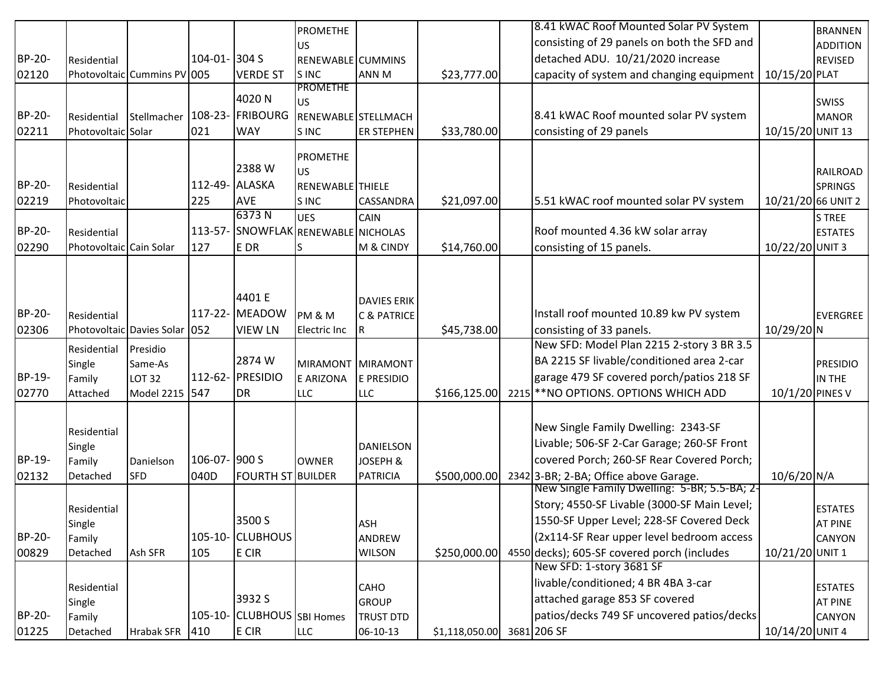|        |                         |                                  |                |                                     | <b>PROMETHE</b>     |                           |                | 8.41 kWAC Roof Mounted Solar PV System                                                |                    | <b>BRANNEN</b>            |
|--------|-------------------------|----------------------------------|----------------|-------------------------------------|---------------------|---------------------------|----------------|---------------------------------------------------------------------------------------|--------------------|---------------------------|
|        |                         |                                  |                |                                     | <b>US</b>           |                           |                | consisting of 29 panels on both the SFD and                                           |                    | <b>ADDITION</b>           |
| BP-20- | Residential             |                                  | 104-01- 304 S  |                                     | RENEWABLE CUMMINS   |                           |                | detached ADU. 10/21/2020 increase                                                     |                    | <b>REVISED</b>            |
| 02120  |                         | Photovoltaic Cummins PV 005      |                | <b>VERDE ST</b>                     | S INC               | ANN M                     | \$23,777.00    | capacity of system and changing equipment                                             | 10/15/20 PLAT      |                           |
|        |                         |                                  |                |                                     | <b>PROMETHE</b>     |                           |                |                                                                                       |                    |                           |
|        |                         |                                  |                | 4020N                               | US                  |                           |                |                                                                                       |                    | <b>SWISS</b>              |
| BP-20- | Residential             | Stellmacher   108-23-   FRIBOURG |                |                                     | RENEWABLE STELLMACH |                           |                | 8.41 kWAC Roof mounted solar PV system                                                |                    | MANOR                     |
| 02211  | Photovoltaic Solar      |                                  | 021            | <b>WAY</b>                          | S INC               | <b>ER STEPHEN</b>         | \$33,780.00    | consisting of 29 panels                                                               | 10/15/20 UNIT 13   |                           |
|        |                         |                                  |                |                                     | <b>PROMETHE</b>     |                           |                |                                                                                       |                    |                           |
|        |                         |                                  |                | 2388W                               | <b>US</b>           |                           |                |                                                                                       |                    | RAILROAD                  |
| BP-20- | Residential             |                                  | 112-49- ALASKA |                                     | RENEWABLE THIELE    |                           |                |                                                                                       |                    | SPRINGS                   |
| 02219  | Photovoltaic            |                                  | 225            | <b>AVE</b>                          | S INC               | <b>CASSANDRA</b>          | \$21,097.00    | 5.51 kWAC roof mounted solar PV system                                                | 10/21/20 66 UNIT 2 |                           |
|        |                         |                                  |                | 6373N                               | <b>UES</b>          | <b>CAIN</b>               |                |                                                                                       |                    | S TREE                    |
| BP-20- | Residential             |                                  |                | 113-57- SNOWFLAK RENEWABLE NICHOLAS |                     |                           |                | Roof mounted 4.36 kW solar array                                                      |                    | <b>ESTATES</b>            |
| 02290  | Photovoltaic Cain Solar |                                  | 127            | E DR                                |                     | M & CINDY                 | \$14,760.00    | consisting of 15 panels.                                                              | 10/22/20 UNIT 3    |                           |
|        |                         |                                  |                |                                     |                     |                           |                |                                                                                       |                    |                           |
|        |                         |                                  |                |                                     |                     |                           |                |                                                                                       |                    |                           |
|        |                         |                                  |                | 4401 E                              |                     | <b>DAVIES ERIK</b>        |                |                                                                                       |                    |                           |
| BP-20- | Residential             |                                  |                | 117-22- MEADOW                      | PM & M              | <b>C &amp; PATRICE</b>    |                | Install roof mounted 10.89 kw PV system                                               |                    | EVERGREE                  |
| 02306  |                         | Photovoltaic Davies Solar 052    |                | <b>VIEW LN</b>                      | Electric Inc        | IR.                       | \$45,738.00    | consisting of 33 panels.                                                              | $10/29/20$ N       |                           |
|        |                         |                                  |                |                                     |                     |                           |                | New SFD: Model Plan 2215 2-story 3 BR 3.5                                             |                    |                           |
|        | Residential<br>Single   | Presidio<br>Same-As              |                | 2874 W                              | MIRAMONT MIRAMONT   |                           |                | BA 2215 SF livable/conditioned area 2-car                                             |                    | <b>PRESIDIO</b>           |
| BP-19- | Family                  | <b>LOT 32</b>                    |                | 112-62- PRESIDIO                    | <b>E ARIZONA</b>    | E PRESIDIO                |                | garage 479 SF covered porch/patios 218 SF                                             |                    | IN THE                    |
| 02770  | Attached                | Model 2215                       | 547            | <b>DR</b>                           | <b>LLC</b>          | <b>LLC</b>                | \$166,125.00   | 2215 ** NO OPTIONS. OPTIONS WHICH ADD                                                 | 10/1/20 PINES V    |                           |
|        |                         |                                  |                |                                     |                     |                           |                |                                                                                       |                    |                           |
|        |                         |                                  |                |                                     |                     |                           |                | New Single Family Dwelling: 2343-SF                                                   |                    |                           |
|        | Residential             |                                  |                |                                     |                     |                           |                | Livable; 506-SF 2-Car Garage; 260-SF Front                                            |                    |                           |
| BP-19- | Single                  |                                  | 106-07- 900 S  |                                     |                     | DANIELSON                 |                | covered Porch; 260-SF Rear Covered Porch;                                             |                    |                           |
|        | Family<br>Detached      | Danielson<br><b>SFD</b>          | 040D           | <b>FOURTH ST BUILDER</b>            | <b>OWNER</b>        | JOSEPH &<br>PATRICIA      | \$500,000.00   |                                                                                       | 10/6/20 N/A        |                           |
| 02132  |                         |                                  |                |                                     |                     |                           |                | 2342 3-BR; 2-BA; Office above Garage.<br>New Single Family Dwelling: 5-BR; 5.5-BA; 2- |                    |                           |
|        |                         |                                  |                |                                     |                     |                           |                | Story; 4550-SF Livable (3000-SF Main Level;                                           |                    |                           |
|        | Residential             |                                  |                | 3500 S                              |                     |                           |                | 1550-SF Upper Level; 228-SF Covered Deck                                              |                    | <b>ESTATES</b>            |
| BP-20- | Single<br>Family        |                                  |                | 105-10- CLUBHOUS                    |                     | IASH<br>ANDREW            |                | (2x114-SF Rear upper level bedroom access                                             |                    | IAT PINE<br><b>CANYON</b> |
| 00829  | Detached                | Ash SFR                          | 105            | E CIR                               |                     | <b>WILSON</b>             | \$250,000.00   | 4550 decks); 605-SF covered porch (includes                                           | 10/21/20 UNIT 1    |                           |
|        |                         |                                  |                |                                     |                     |                           |                | New SFD: 1-story 3681 SF                                                              |                    |                           |
|        |                         |                                  |                |                                     |                     |                           |                | livable/conditioned; 4 BR 4BA 3-car                                                   |                    |                           |
|        | Residential             |                                  |                | 3932 S                              |                     | CAHO                      |                | attached garage 853 SF covered                                                        |                    | <b>ESTATES</b>            |
| BP-20- | Single                  |                                  |                | 105-10- CLUBHOUS SBI Homes          |                     | GROUP<br><b>TRUST DTD</b> |                | patios/decks 749 SF uncovered patios/decks                                            |                    | <b>AT PINE</b><br>CANYON  |
| 01225  | Family<br>Detached      | <b>Hrabak SFR</b>                | 410            | E CIR                               | <b>LLC</b>          | 06-10-13                  | \$1,118,050.00 | 3681 206 SF                                                                           | 10/14/20 UNIT 4    |                           |
|        |                         |                                  |                |                                     |                     |                           |                |                                                                                       |                    |                           |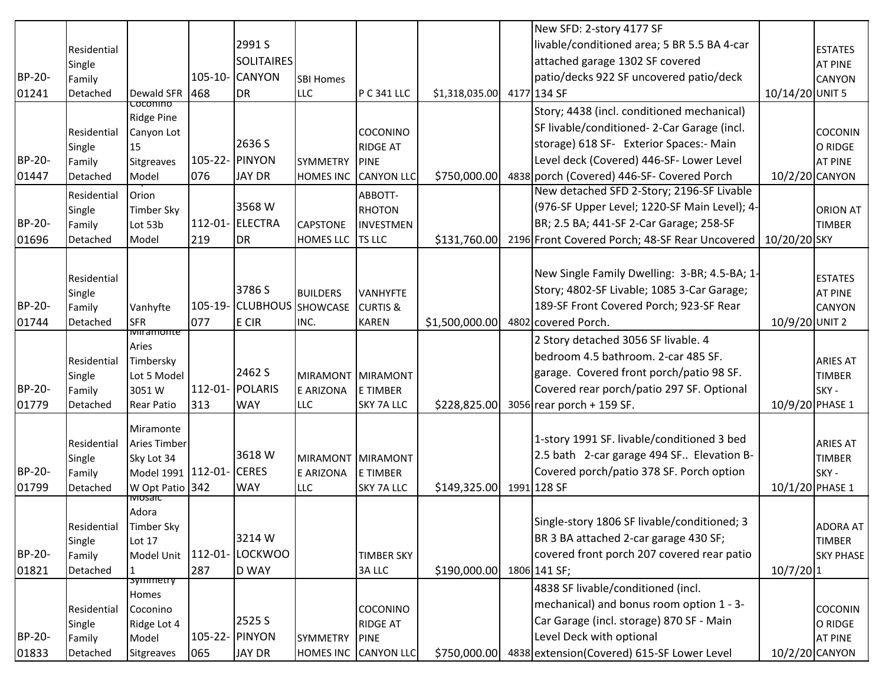|        |                       |                                   |              |                   |                  |                             |                | New SFD: 2-story 4177 SF                       |                 |                                  |
|--------|-----------------------|-----------------------------------|--------------|-------------------|------------------|-----------------------------|----------------|------------------------------------------------|-----------------|----------------------------------|
|        | Residential           |                                   |              | 2991 S            |                  |                             |                | livable/conditioned area; 5 BR 5.5 BA 4-car    |                 | <b>ESTATES</b>                   |
|        | Single                |                                   |              | <b>SOLITAIRES</b> |                  |                             |                | attached garage 1302 SF covered                |                 | <b>AT PINE</b>                   |
| BP-20- | Family                |                                   | $105 - 10 -$ | <b>CANYON</b>     | <b>SBI Homes</b> |                             |                | patio/decks 922 SF uncovered patio/deck        |                 | <b>CANYON</b>                    |
| 01241  | Detached              | Dewald SFR                        | 468          | <b>DR</b>         | <b>LLC</b>       | P C 341 LLC                 | \$1,318,035.00 | 4177 134 SF                                    | 10/14/20 UNIT 5 |                                  |
|        |                       | coconino<br><b>Ridge Pine</b>     |              |                   |                  |                             |                | Story; 4438 (incl. conditioned mechanical)     |                 |                                  |
|        | Residential           | Canyon Lot                        |              |                   |                  | <b>COCONINO</b>             |                | SF livable/conditioned-2-Car Garage (incl.     |                 | <b>COCONIN</b>                   |
|        | Single                | 15                                |              | 2636 S            |                  | <b>RIDGE AT</b>             |                | storage) 618 SF- Exterior Spaces:- Main        |                 | O RIDGE                          |
| BP-20- | Family                | Sitgreaves                        | $105 - 22 -$ | PINYON            | SYMMETRY         | PINE                        |                | Level deck (Covered) 446-SF- Lower Level       |                 | <b>AT PINE</b>                   |
| 01447  | Detached              | Model                             | 076          | <b>JAY DR</b>     | <b>HOMES INC</b> | <b>CANYON LLC</b>           | \$750,000.00   | 4838 porch (Covered) 446-SF- Covered Porch     | 10/2/20 CANYON  |                                  |
|        | Residential           | Orion                             |              |                   |                  | ABBOTT-                     |                | New detached SFD 2-Story; 2196-SF Livable      |                 |                                  |
|        | Single                | Timber Sky                        |              | 3568 W            |                  | <b>RHOTON</b>               |                | (976-SF Upper Level; 1220-SF Main Level); 4-   |                 | ORION AT                         |
| BP-20- | Family                | Lot 53b                           | 112-01-      | <b>ELECTRA</b>    | CAPSTONE         | INVESTMEN                   |                | BR; 2.5 BA; 441-SF 2-Car Garage; 258-SF        |                 | <b>TIMBER</b>                    |
| 01696  | Detached              | Model                             | 219          | <b>I</b> DR       | HOMES LLC        | <b>TS LLC</b>               | \$131,760.00   | 2196 Front Covered Porch; 48-SF Rear Uncovered | 10/20/20 SKY    |                                  |
|        |                       |                                   |              |                   |                  |                             |                |                                                |                 |                                  |
|        | Residential           |                                   |              |                   |                  |                             |                | New Single Family Dwelling: 3-BR; 4.5-BA; 1-   |                 | <b>ESTATES</b>                   |
|        | Single                |                                   |              | 3786 S            | <b>BUILDERS</b>  | <b>VANHYFTE</b>             |                | Story; 4802-SF Livable; 1085 3-Car Garage;     |                 | <b>AT PINE</b>                   |
| BP-20- | Family                | Vanhyfte                          | 105-19-      | <b>CLUBHOUS</b>   | SHOWCASE         | <b>CURTIS &amp;</b>         |                | 189-SF Front Covered Porch; 923-SF Rear        |                 | <b>CANYON</b>                    |
| 01744  | Detached              | <b>SFR</b>                        | 077          | E CIR             | INC.             | <b>KAREN</b>                | \$1,500,000.00 | 4802 covered Porch.                            | 10/9/20 UNIT 2  |                                  |
|        |                       | miramonte                         |              |                   |                  |                             |                | 2 Story detached 3056 SF livable. 4            |                 |                                  |
|        |                       | Aries                             |              |                   |                  |                             |                | bedroom 4.5 bathroom. 2-car 485 SF.            |                 | <b>ARIES AT</b>                  |
|        | Residential<br>Single | Timbersky<br>Lot 5 Model          |              | 2462 S            | <b>MIRAMONT</b>  | MIRAMONT                    |                | garage. Covered front porch/patio 98 SF.       |                 | <b>TIMBER</b>                    |
| BP-20- | Family                | 3051W                             | $112 - 01 -$ | POLARIS           | <b>E ARIZONA</b> | E TIMBER                    |                | Covered rear porch/patio 297 SF. Optional      |                 | SKY -                            |
| 01779  | Detached              | <b>Rear Patio</b>                 | 313          | <b>WAY</b>        | LLC              | SKY 7A LLC                  | \$228,825.00   | $3056$ rear porch + 159 SF.                    | 10/9/20 PHASE 1 |                                  |
|        |                       |                                   |              |                   |                  |                             |                |                                                |                 |                                  |
|        |                       | Miramonte                         |              |                   |                  |                             |                | 1-story 1991 SF. livable/conditioned 3 bed     |                 |                                  |
|        | Residential<br>Single | <b>Aries Timber</b><br>Sky Lot 34 |              | 3618 W            | <b>MIRAMONT</b>  | MIRAMONT                    |                | 2.5 bath 2-car garage 494 SF Elevation B-      |                 | <b>ARIES AT</b><br><b>TIMBER</b> |
| BP-20- | Family                | Model 1991 112-01-                |              | <b>CERES</b>      | E ARIZONA        | E TIMBER                    |                | Covered porch/patio 378 SF. Porch option       |                 | SKY -                            |
| 01799  | Detached              | W Opt Patio 342                   |              | <b>WAY</b>        | <b>LLC</b>       | <b>SKY 7A LLC</b>           | \$149,325.00   | 1991 128 SF                                    | 10/1/20 PHASE 1 |                                  |
|        |                       | iviosaic                          |              |                   |                  |                             |                |                                                |                 |                                  |
|        |                       | Adora                             |              |                   |                  |                             |                | Single-story 1806 SF livable/conditioned; 3    |                 |                                  |
|        | Residential           | <b>Timber Sky</b>                 |              | 3214 W            |                  |                             |                | BR 3 BA attached 2-car garage 430 SF;          |                 | <b>ADORA AT</b>                  |
| BP-20- | Single                | <b>Lot 17</b><br>Model Unit       |              | 112-01- LOCKWOO   |                  |                             |                | covered front porch 207 covered rear patio     |                 | <b>TIMBER</b>                    |
| 01821  | Family<br>Detached    | $\mathbf{1}$                      | 287          | <b>D WAY</b>      |                  | <b>TIMBER SKY</b><br>3A LLC | \$190,000.00   | 1806 141 SF;                                   | $10/7/20$ 1     | <b>SKY PHASE</b>                 |
|        |                       | symmetry                          |              |                   |                  |                             |                | 4838 SF livable/conditioned (incl.             |                 |                                  |
|        |                       | Homes                             |              |                   |                  |                             |                |                                                |                 |                                  |
|        | Residential           | Coconino                          |              |                   |                  | <b>COCONINO</b>             |                | mechanical) and bonus room option 1 - 3-       |                 | <b>COCONIN</b>                   |
|        | Single                | Ridge Lot 4                       |              | 2525 S            |                  | <b>RIDGE AT</b>             |                | Car Garage (incl. storage) 870 SF - Main       |                 | O RIDGE                          |
| BP-20- | Family                | Model                             | 105-22-      | <b>PINYON</b>     | SYMMETRY         | PINE                        |                | Level Deck with optional                       |                 | <b>AT PINE</b>                   |
| 01833  | Detached              | Sitgreaves                        | 065          | <b>JAY DR</b>     |                  | HOMES INC CANYON LLC        | \$750,000.00   | 4838 extension (Covered) 615-SF Lower Level    | 10/2/20 CANYON  |                                  |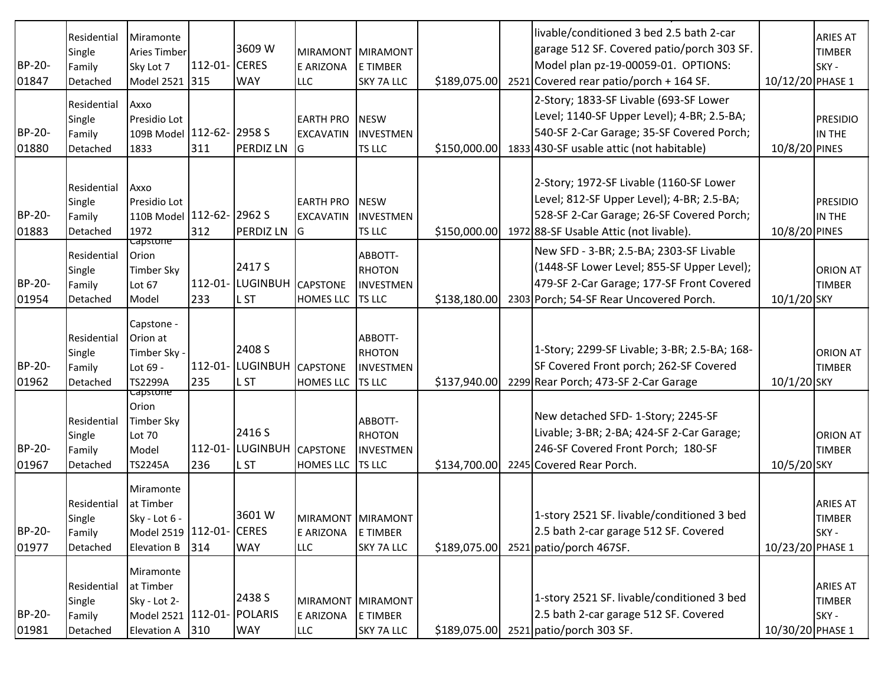|                 | Residential<br>Single                       | Miramonte<br><b>Aries Timber</b>                                                            |                     | 3609 W                                       |                                                   | MIRAMONT MIRAMONT                                      |              | livable/conditioned 3 bed 2.5 bath 2-car<br>garage 512 SF. Covered patio/porch 303 SF.                                                                                        |                  | <b>ARIES AT</b><br><b>TIMBER</b>          |
|-----------------|---------------------------------------------|---------------------------------------------------------------------------------------------|---------------------|----------------------------------------------|---------------------------------------------------|--------------------------------------------------------|--------------|-------------------------------------------------------------------------------------------------------------------------------------------------------------------------------|------------------|-------------------------------------------|
| BP-20-          | Family                                      | Sky Lot 7                                                                                   | 112-01- CERES       |                                              | E ARIZONA                                         | E TIMBER                                               |              | Model plan pz-19-00059-01. OPTIONS:                                                                                                                                           |                  | SKY-                                      |
| 01847           | Detached                                    | Model 2521 315                                                                              |                     | <b>WAY</b>                                   | <b>LLC</b>                                        | <b>SKY 7A LLC</b>                                      | \$189,075.00 | 2521 Covered rear patio/porch + 164 SF.                                                                                                                                       | 10/12/20 PHASE 1 |                                           |
| BP-20-<br>01880 | Residential<br>Single<br>Family<br>Detached | Axxo<br>Presidio Lot<br>109B Model 112-62- 2958 S<br>1833                                   | 311                 | <b>PERDIZ LN</b>                             | <b>EARTH PRO</b><br><b>EXCAVATIN</b><br><b>IG</b> | <b>NESW</b><br><b>INVESTMEN</b><br><b>TS LLC</b>       | \$150,000.00 | 2-Story; 1833-SF Livable (693-SF Lower<br>Level; 1140-SF Upper Level); 4-BR; 2.5-BA;<br>540-SF 2-Car Garage; 35-SF Covered Porch;<br>1833 430-SF usable attic (not habitable) | 10/8/20 PINES    | <b>PRESIDIO</b><br>IN THE                 |
| BP-20-<br>01883 | Residential<br>Single<br>Family<br>Detached | Axxo<br>Presidio Lot<br>110B Model 112-62- 2962 S<br>1972                                   | 312                 | <b>PERDIZ LN</b>                             | <b>EARTH PRO</b><br><b>EXCAVATIN</b><br><b>G</b>  | <b>NESW</b><br><b>INVESTMEN</b><br><b>TS LLC</b>       | \$150,000.00 | 2-Story; 1972-SF Livable (1160-SF Lower<br>Level; 812-SF Upper Level); 4-BR; 2.5-BA;<br>528-SF 2-Car Garage; 26-SF Covered Porch;<br>1972 88-SF Usable Attic (not livable).   | 10/8/20 PINES    | <b>PRESIDIO</b><br>IN THE                 |
| BP-20-<br>01954 | Residential<br>Single<br>Family<br>Detached | <del>capstone</del><br>Orion<br><b>Timber Sky</b><br>Lot 67<br>Model                        | 233                 | 2417 S<br>112-01- LUGINBUH<br>L ST           | <b>CAPSTONE</b><br>HOMES LLC TS LLC               | ABBOTT-<br><b>RHOTON</b><br>IINVESTMEN                 | \$138,180.00 | New SFD - 3-BR; 2.5-BA; 2303-SF Livable<br>(1448-SF Lower Level; 855-SF Upper Level);<br>479-SF 2-Car Garage; 177-SF Front Covered<br>2303 Porch; 54-SF Rear Uncovered Porch. | 10/1/20 SKY      | <b>ORION AT</b><br><b>TIMBER</b>          |
| BP-20-<br>01962 | Residential<br>Single<br>Family<br>Detached | Capstone -<br>Orion at<br>Timber Sky -<br>Lot 69 -<br><b>TS2299A</b>                        | 235                 | 2408 S<br>112-01- LUGINBUH<br>L ST           | <b>CAPSTONE</b><br>HOMES LLC                      | ABBOTT-<br>RHOTON<br>INVESTMEN<br><b>TS LLC</b>        | \$137,940.00 | 1-Story; 2299-SF Livable; 3-BR; 2.5-BA; 168-<br>SF Covered Front porch; 262-SF Covered<br>2299 Rear Porch; 473-SF 2-Car Garage                                                | 10/1/20 SKY      | <b>ORION AT</b><br><b>TIMBER</b>          |
| BP-20-<br>01967 | Residential<br>Single<br>Family<br>Detached | <del>Capstone</del><br>Orion<br><b>Timber Sky</b><br>Lot 70<br>Model<br><b>TS2245A</b>      | $112 - 01 -$<br>236 | 2416 S<br><b>LUGINBUH</b><br>L <sub>ST</sub> | <b>CAPSTONE</b><br><b>HOMES LLC</b>               | ABBOTT-<br><b>RHOTON</b><br>INVESTMEN<br><b>TS LLC</b> | \$134,700.00 | New detached SFD-1-Story; 2245-SF<br>Livable; 3-BR; 2-BA; 424-SF 2-Car Garage;<br>246-SF Covered Front Porch; 180-SF<br>2245 Covered Rear Porch.                              | 10/5/20 SKY      | <b>ORION AT</b><br><b>TIMBER</b>          |
| BP-20-<br>01977 | Residential<br>Single<br>Family<br>Detached | Miramonte<br>at Timber<br>Sky - Lot 6 -<br>Model 2519 112-01-<br><b>Elevation B</b>         | 314                 | 3601W<br><b>CERES</b><br><b>WAY</b>          | E ARIZONA<br><b>LLC</b>                           | MIRAMONT MIRAMONT<br>E TIMBER<br><b>SKY 7A LLC</b>     | \$189,075.00 | 1-story 2521 SF. livable/conditioned 3 bed<br>2.5 bath 2-car garage 512 SF. Covered<br>2521 patio/porch 467SF.                                                                | 10/23/20 PHASE 1 | <b>ARIES AT</b><br><b>TIMBER</b><br>SKY-  |
| BP-20-<br>01981 | Residential<br>Single<br>Family<br>Detached | Miramonte<br>at Timber<br>Sky - Lot 2-<br>Model 2521   112-01-   POLARIS<br>Elevation A 310 |                     | 2438 S<br><b>WAY</b>                         | E ARIZONA<br><b>LLC</b>                           | MIRAMONT MIRAMONT<br>E TIMBER<br>SKY 7A LLC            | \$189,075.00 | 1-story 2521 SF. livable/conditioned 3 bed<br>2.5 bath 2-car garage 512 SF. Covered<br>2521 patio/porch 303 SF.                                                               | 10/30/20 PHASE 1 | <b>ARIES AT</b><br><b>TIMBER</b><br>SKY - |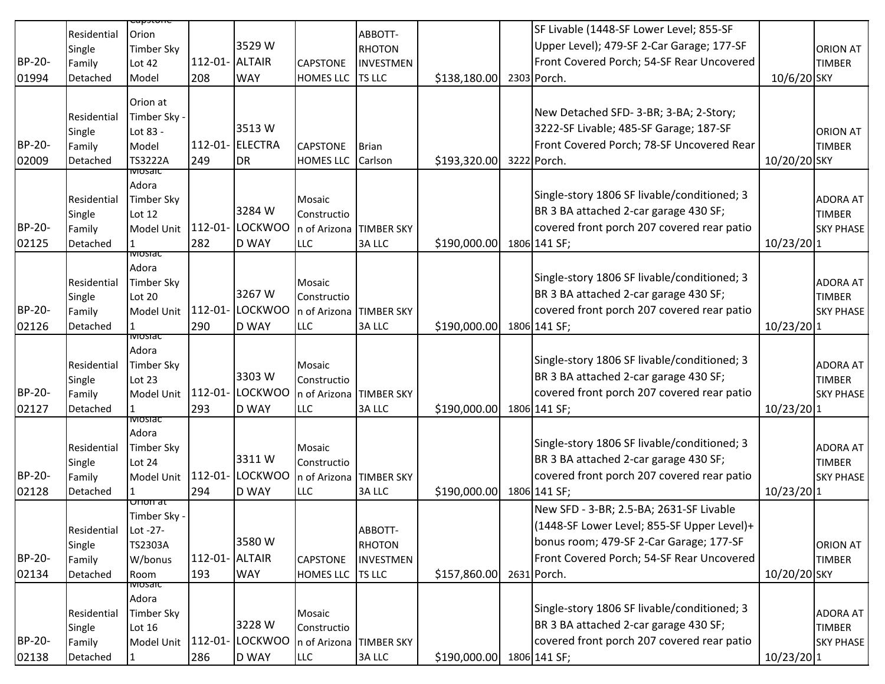|        | Residential           | Orion                    |                |                 |                                        | ABBOTT-           |                           | SF Livable (1448-SF Lower Level; 855-SF     |               |                                   |
|--------|-----------------------|--------------------------|----------------|-----------------|----------------------------------------|-------------------|---------------------------|---------------------------------------------|---------------|-----------------------------------|
|        | Single                | Timber Sky               |                | 3529W           |                                        | RHOTON            |                           | Upper Level); 479-SF 2-Car Garage; 177-SF   |               | <b>ORION AT</b>                   |
| BP-20- | Family                | Lot 42                   | 112-01- ALTAIR |                 | <b>CAPSTONE</b>                        | INVESTMEN         |                           | Front Covered Porch; 54-SF Rear Uncovered   |               | <b>TIMBER</b>                     |
| 01994  | Detached              | Model                    | 208            | <b>WAY</b>      | HOMES LLC                              | <b>TS LLC</b>     | \$138,180.00              | 2303 Porch.                                 | 10/6/20 SKY   |                                   |
|        |                       |                          |                |                 |                                        |                   |                           |                                             |               |                                   |
|        | Residential           | Orion at<br>Timber Sky - |                |                 |                                        |                   |                           | New Detached SFD-3-BR; 3-BA; 2-Story;       |               |                                   |
|        | Single                | Lot 83 -                 |                | 3513W           |                                        |                   |                           | 3222-SF Livable; 485-SF Garage; 187-SF      |               | <b>ORION AT</b>                   |
| BP-20- | Family                | Model                    | 112-01-        | <b>ELECTRA</b>  | <b>CAPSTONE</b>                        | <b>I</b> Brian    |                           | Front Covered Porch; 78-SF Uncovered Rear   |               | <b>TIMBER</b>                     |
| 02009  | Detached              | <b>TS3222A</b>           | 249            | <b>DR</b>       | <b>HOMES LLC</b>                       | Carlson           | \$193,320.00              | 3222 Porch.                                 | 10/20/20 SKY  |                                   |
|        |                       | iviosaic                 |                |                 |                                        |                   |                           |                                             |               |                                   |
|        |                       | Adora                    |                |                 |                                        |                   |                           | Single-story 1806 SF livable/conditioned; 3 |               |                                   |
|        | Residential           | <b>Timber Sky</b>        |                | 3284 W          | Mosaic                                 |                   |                           | BR 3 BA attached 2-car garage 430 SF;       |               | <b>ADORA AT</b>                   |
| BP-20- | Single<br>Family      | Lot 12<br>Model Unit     | $112 - 01 -$   | <b>LOCKWOO</b>  | Constructio<br>n of Arizona TIMBER SKY |                   |                           | covered front porch 207 covered rear patio  |               | <b>TIMBER</b><br><b>SKY PHASE</b> |
| 02125  | Detached              |                          | 282            | <b>D WAY</b>    | LLC                                    | 3A LLC            | \$190,000.00              | 1806 141 SF;                                | $10/23/20$  1 |                                   |
|        |                       | ाणण्डावट                 |                |                 |                                        |                   |                           |                                             |               |                                   |
|        |                       | Adora                    |                |                 |                                        |                   |                           |                                             |               |                                   |
|        | Residential           | <b>Timber Sky</b>        |                |                 | Mosaic                                 |                   |                           | Single-story 1806 SF livable/conditioned; 3 |               | <b>ADORA AT</b>                   |
|        | Single                | Lot 20                   |                | 3267 W          | Constructio                            |                   |                           | BR 3 BA attached 2-car garage 430 SF;       |               | <b>TIMBER</b>                     |
| BP-20- | Family                | Model Unit               | $112 - 01 -$   | <b>LOCKWOO</b>  | n of Arizona TIMBER SKY                |                   |                           | covered front porch 207 covered rear patio  |               | <b>SKY PHASE</b>                  |
| 02126  | Detached              | iviosiac                 | 290            | <b>D WAY</b>    | LLC                                    | <b>3ALLC</b>      | \$190,000.00              | 1806 141 SF;                                | $10/23/20$ 1  |                                   |
|        |                       | Adora                    |                |                 |                                        |                   |                           |                                             |               |                                   |
|        | Residential           | <b>Timber Sky</b>        |                |                 | Mosaic                                 |                   |                           | Single-story 1806 SF livable/conditioned; 3 |               | <b>ADORA AT</b>                   |
|        | Single                | Lot 23                   |                | 3303W           | Constructio                            |                   |                           | BR 3 BA attached 2-car garage 430 SF;       |               | <b>TIMBER</b>                     |
| BP-20- | Family                | Model Unit               | $112 - 01 -$   | <b>LOCKWOO</b>  | n of Arizona TIMBER SKY                |                   |                           | covered front porch 207 covered rear patio  |               | <b>SKY PHASE</b>                  |
| 02127  | Detached              | 1                        | 293            | <b>D WAY</b>    | <b>LLC</b>                             | <b>3ALLC</b>      | \$190,000.00              | 1806 141 SF;                                | $10/23/20$ 1  |                                   |
|        |                       | <u>iviosiac</u><br>Adora |                |                 |                                        |                   |                           |                                             |               |                                   |
|        | Residential           | <b>Timber Sky</b>        |                |                 | Mosaic                                 |                   |                           | Single-story 1806 SF livable/conditioned; 3 |               | <b>ADORA AT</b>                   |
|        | Single                | Lot 24                   |                | 3311W           | Constructio                            |                   |                           | BR 3 BA attached 2-car garage 430 SF;       |               | <b>TIMBER</b>                     |
| BP-20- | Family                | Model Unit               |                | 112-01- LOCKWOO | n of Arizona TIMBER SKY                |                   |                           | covered front porch 207 covered rear patio  |               | <b>SKY PHASE</b>                  |
| 02128  | Detached              |                          | 294            | <b>D WAY</b>    | <b>LLC</b>                             | 3A LLC            | \$190,000.00              | 1806 141 SF;                                | 10/23/201     |                                   |
|        |                       | Orion at                 |                |                 |                                        |                   |                           | New SFD - 3-BR; 2.5-BA; 2631-SF Livable     |               |                                   |
|        |                       | Timber Sky -             |                |                 |                                        |                   |                           | (1448-SF Lower Level; 855-SF Upper Level)+  |               |                                   |
|        | Residential<br>Single | Lot -27-<br>TS2303A      |                | 3580W           |                                        | ABBOTT-<br>RHOTON |                           | bonus room; 479-SF 2-Car Garage; 177-SF     |               | <b>ORION AT</b>                   |
| BP-20- | Family                | W/bonus                  | 112-01- ALTAIR |                 | <b>CAPSTONE</b>                        | <b>INVESTMEN</b>  |                           | Front Covered Porch; 54-SF Rear Uncovered   |               | <b>TIMBER</b>                     |
| 02134  | Detached              | Room                     | 193            | <b>WAY</b>      | HOMES LLC TS LLC                       |                   | \$157,860.00 2631 Porch.  |                                             | 10/20/20 SKY  |                                   |
|        |                       | iviosaic                 |                |                 |                                        |                   |                           |                                             |               |                                   |
|        |                       | Adora                    |                |                 |                                        |                   |                           | Single-story 1806 SF livable/conditioned; 3 |               |                                   |
|        | Residential           | Timber Sky               |                |                 | Mosaic                                 |                   |                           |                                             |               | <b>ADORA AT</b>                   |
|        | Single                | Lot 16                   |                | 3228 W          | Constructio                            |                   |                           | BR 3 BA attached 2-car garage 430 SF;       |               | <b>TIMBER</b>                     |
| BP-20- | Family                | Model Unit               | 112-01-        | LOCKWOO         | n of Arizona TIMBER SKY                |                   |                           | covered front porch 207 covered rear patio  |               | <b>SKY PHASE</b>                  |
| 02138  | Detached              | $\mathbf{1}$             | 286            | <b>D WAY</b>    | <b>LLC</b>                             | 3A LLC            | \$190,000.00 1806 141 SF; |                                             | 10/23/201     |                                   |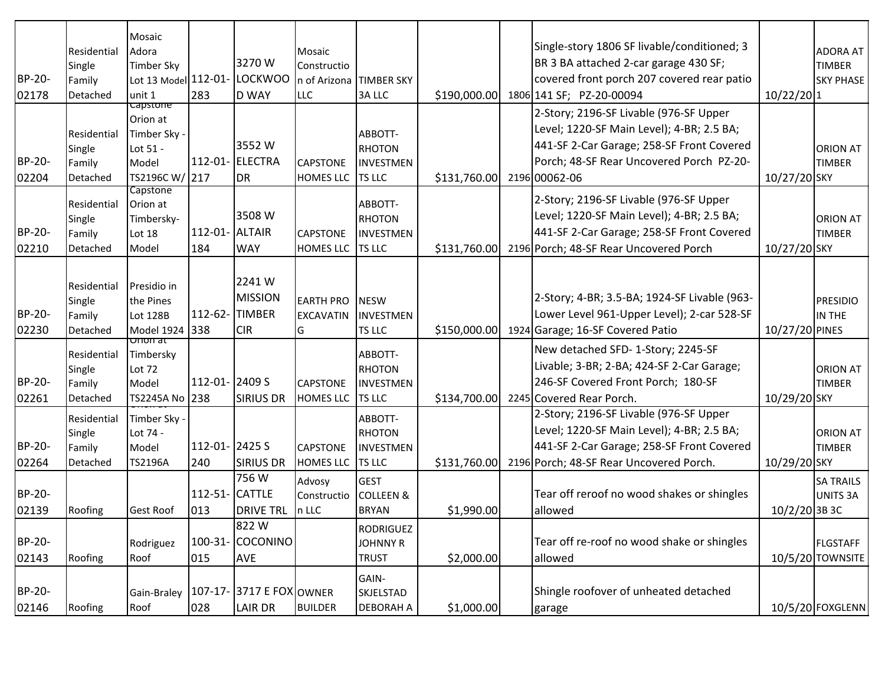| BP-20-<br>02178 | Residential<br>Single<br>Family<br>Detached | Mosaic<br>Adora<br><b>Timber Sky</b><br>Lot 13 Model 112-01-<br>unit 1             | 283                   | 3270W<br><b>LOCKWOO</b><br><b>D WAY</b>                | Mosaic<br>Constructio<br>n of Arizona TIMBER SKY<br>LLC | <b>3ALLC</b>                                           | \$190,000.00 | Single-story 1806 SF livable/conditioned; 3<br>BR 3 BA attached 2-car garage 430 SF;<br>covered front porch 207 covered rear patio<br>1806 141 SF; PZ-20-00094                                | $10/22/20$ 1    | <b>ADORA AT</b><br><b>TIMBER</b><br><b>SKY PHASE</b> |
|-----------------|---------------------------------------------|------------------------------------------------------------------------------------|-----------------------|--------------------------------------------------------|---------------------------------------------------------|--------------------------------------------------------|--------------|-----------------------------------------------------------------------------------------------------------------------------------------------------------------------------------------------|-----------------|------------------------------------------------------|
| BP-20-<br>02204 | Residential<br>Single<br>Family<br>Detached | <b>Capstone</b><br>Orion at<br>Timber Sky -<br>Lot 51 -<br>Model<br>TS2196C W/ 217 |                       | 3552W<br>112-01- ELECTRA<br><b>DR</b>                  | <b>CAPSTONE</b><br><b>HOMES LLC TS LLC</b>              | ABBOTT-<br>RHOTON<br><b>INVESTMEN</b>                  | \$131,760.00 | 2-Story; 2196-SF Livable (976-SF Upper<br>Level; 1220-SF Main Level); 4-BR; 2.5 BA;<br>441-SF 2-Car Garage; 258-SF Front Covered<br>Porch; 48-SF Rear Uncovered Porch PZ-20-<br>2196 00062-06 | 10/27/20 SKY    | <b>ORION AT</b><br><b>TIMBER</b>                     |
| BP-20-<br>02210 | Residential<br>Single<br>Family<br>Detached | Capstone<br>Orion at<br>Timbersky-<br>Lot 18<br>Model                              | 112-01- ALTAIR<br>184 | 3508 W<br><b>WAY</b>                                   | <b>CAPSTONE</b><br><b>HOMES LLC</b>                     | ABBOTT-<br>RHOTON<br><b>INVESTMEN</b><br><b>TS LLC</b> | \$131,760.00 | 2-Story; 2196-SF Livable (976-SF Upper<br>Level; 1220-SF Main Level); 4-BR; 2.5 BA;<br>441-SF 2-Car Garage; 258-SF Front Covered<br>2196 Porch; 48-SF Rear Uncovered Porch                    | 10/27/20 SKY    | <b>ORION AT</b><br><b>TIMBER</b>                     |
| BP-20-<br>02230 | Residential<br>Single<br>Family<br>Detached | Presidio in<br>the Pines<br><b>Lot 128B</b><br>Model 1924 338                      | 112-62-               | 2241W<br><b>MISSION</b><br><b>TIMBER</b><br><b>CIR</b> | <b>EARTH PRO</b><br><b>EXCAVATIN</b><br>IG              | <b>NESW</b><br>INVESTMEN<br>TS LLC                     | \$150,000.00 | 2-Story; 4-BR; 3.5-BA; 1924-SF Livable (963-<br>Lower Level 961-Upper Level); 2-car 528-SF<br>1924 Garage; 16-SF Covered Patio                                                                | 10/27/20 PINES  | <b>PRESIDIO</b><br>IN THE                            |
| BP-20-<br>02261 | Residential<br>Single<br>Family<br>Detached | णाणा वा<br>Timbersky<br>Lot 72<br>Model<br>TS2245A No 238                          | 112-01-2409 S         | <b>SIRIUS DR</b>                                       | <b>CAPSTONE</b><br><b>HOMES LLC</b>                     | ABBOTT-<br>RHOTON<br><b>INVESTMEN</b><br><b>TS LLC</b> | \$134,700.00 | New detached SFD-1-Story; 2245-SF<br>Livable; 3-BR; 2-BA; 424-SF 2-Car Garage;<br>246-SF Covered Front Porch; 180-SF<br>2245 Covered Rear Porch.                                              | 10/29/20 SKY    | <b>ORION AT</b><br><b>TIMBER</b>                     |
| BP-20-<br>02264 | Residential<br>Single<br>Family<br>Detached | Timber Sky -<br>Lot 74 -<br>Model<br><b>TS2196A</b>                                | 112-01-2425 S<br>240  | <b>SIRIUS DR</b>                                       | <b>CAPSTONE</b><br><b>HOMES LLC</b>                     | ABBOTT-<br>RHOTON<br>INVESTMEN<br><b>TS LLC</b>        | \$131,760.00 | 2-Story; 2196-SF Livable (976-SF Upper<br>Level; 1220-SF Main Level); 4-BR; 2.5 BA;<br>441-SF 2-Car Garage; 258-SF Front Covered<br>2196 Porch; 48-SF Rear Uncovered Porch.                   | 10/29/20 SKY    | <b>ORION AT</b><br><b>TIMBER</b>                     |
| BP-20-<br>02139 | Roofing                                     | <b>Gest Roof</b>                                                                   | 112-51- CATTLE<br>013 | 756W<br><b>DRIVE TRL</b>                               | Advosy<br>Constructio<br>In LLC                         | <b>GEST</b><br><b>COLLEEN &amp;</b><br><b>BRYAN</b>    | \$1,990.00   | Tear off reroof no wood shakes or shingles<br>allowed                                                                                                                                         | $10/2/20$ 3B 3C | <b>SA TRAILS</b><br>UNITS 3A                         |
| BP-20-<br>02143 | Roofing                                     | Rodriguez<br>Roof                                                                  | 015                   | 1822 W<br>100-31- COCONINO<br>AVE                      |                                                         | RODRIGUEZ<br><b>JOHNNY R</b><br><b>TRUST</b>           | \$2,000.00   | Tear off re-roof no wood shake or shingles<br>allowed                                                                                                                                         |                 | <b>FLGSTAFF</b><br>10/5/20 TOWNSITE                  |
| BP-20-<br>02146 | Roofing                                     | Gain-Braley<br>Roof                                                                | 028                   | 107-17- 3717 E FOX OWNER<br><b>LAIR DR</b>             | <b>BUILDER</b>                                          | GAIN-<br>SKJELSTAD<br><b>DEBORAH A</b>                 | \$1,000.00]  | Shingle roofover of unheated detached<br>garage                                                                                                                                               |                 | 10/5/20 FOXGLENN                                     |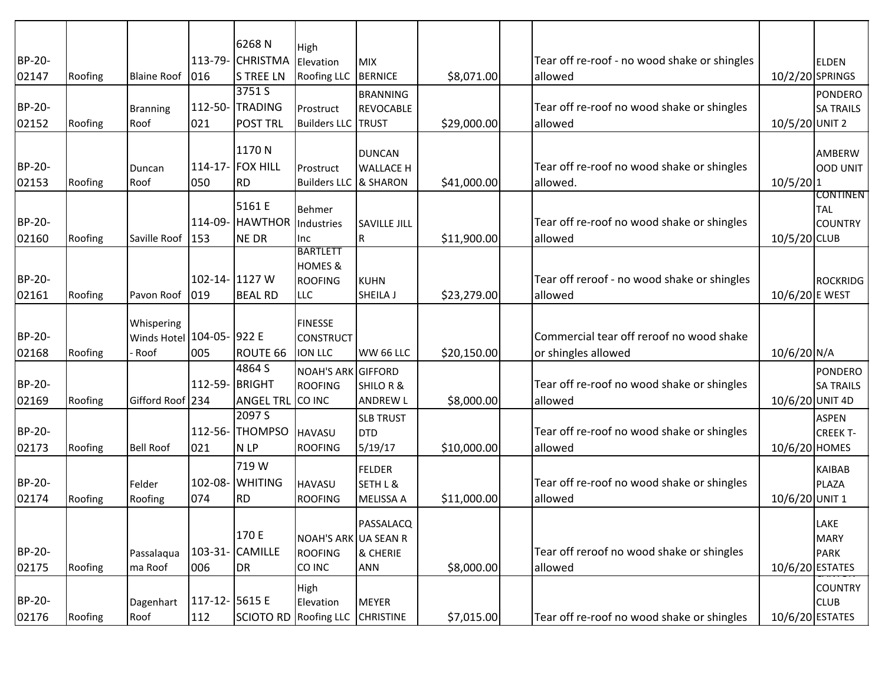|        |         |                           |                | 6268N              |                                             |                     |             |                                              |                 |                             |
|--------|---------|---------------------------|----------------|--------------------|---------------------------------------------|---------------------|-------------|----------------------------------------------|-----------------|-----------------------------|
| BP-20- |         |                           |                | 113-79- CHRISTMA   | High<br>Elevation                           | MIX                 |             | Tear off re-roof - no wood shake or shingles |                 | <b>ELDEN</b>                |
| 02147  | Roofing | <b>Blaine Roof</b>        | 016            | <b>S TREE LN</b>   | <b>Roofing LLC</b>                          | BERNICE             | \$8,071.00  | allowed                                      | 10/2/20 SPRINGS |                             |
|        |         |                           |                | 3751 S             |                                             | <b>BRANNING</b>     |             |                                              |                 | PONDERO                     |
| BP-20- |         | <b>Branning</b>           | 112-50-        | <b>TRADING</b>     | Prostruct                                   | REVOCABLE           |             | Tear off re-roof no wood shake or shingles   |                 | <b>SA TRAILS</b>            |
| 02152  | Roofing | Roof                      | 021            | <b>POST TRL</b>    | <b>Builders LLC TRUST</b>                   |                     | \$29,000.00 | allowed                                      | 10/5/20 UNIT 2  |                             |
|        |         |                           |                |                    |                                             |                     |             |                                              |                 |                             |
|        |         |                           |                | 1170N              |                                             | <b>DUNCAN</b>       |             |                                              |                 | AMBERW                      |
| BP-20- |         | Duncan                    |                | 114-17- FOX HILL   | Prostruct                                   | <b>WALLACE H</b>    |             | Tear off re-roof no wood shake or shingles   |                 | OOD UNIT                    |
| 02153  | Roofing | Roof                      | 050            | <b>RD</b>          | Builders LLC & SHARON                       |                     | \$41,000.00 | allowed.                                     | $10/5/20$ 1     | <b>CONTINEN</b>             |
|        |         |                           |                | 5161 E             | <b>Behmer</b>                               |                     |             |                                              |                 | <b>TAL</b>                  |
| BP-20- |         |                           |                | 114-09- HAWTHOR    | Industries                                  | <b>SAVILLE JILL</b> |             | Tear off re-roof no wood shake or shingles   |                 | <b>COUNTRY</b>              |
| 02160  | Roofing | Saville Roof              | 153            | <b>NE DR</b>       | Inc                                         | IR.                 | \$11,900.00 | allowed                                      | 10/5/20 CLUB    |                             |
|        |         |                           |                |                    | <b>BARTLETT</b><br><b>HOMES &amp;</b>       |                     |             |                                              |                 |                             |
| BP-20- |         |                           | 102-14- 1127 W |                    | <b>ROOFING</b>                              | KUHN                |             | Tear off reroof - no wood shake or shingles  |                 | ROCKRIDG                    |
| 02161  | Roofing | Pavon Roof                | 019            | <b>BEAL RD</b>     | <b>LLC</b>                                  | SHEILA J            | \$23,279.00 | allowed                                      | 10/6/20 E WEST  |                             |
|        |         |                           |                |                    |                                             |                     |             |                                              |                 |                             |
|        |         | Whispering                |                |                    | <b>FINESSE</b>                              |                     |             |                                              |                 |                             |
| BP-20- |         | Winds Hotel 104-05- 922 E |                |                    | <b>CONSTRUCT</b>                            |                     |             | Commercial tear off reroof no wood shake     |                 |                             |
| 02168  | Roofing | Roof                      | 005            | ROUTE 66<br>4864 S | <b>ION LLC</b>                              | WW 66 LLC           | \$20,150.00 | or shingles allowed                          | 10/6/20 N/A     |                             |
| BP-20- |         |                           | 112-59- BRIGHT |                    | <b>NOAH'S ARK GIFFORD</b><br><b>ROOFING</b> | SHILOR &            |             | Tear off re-roof no wood shake or shingles   |                 | PONDERO<br><b>SA TRAILS</b> |
| 02169  | Roofing | Gifford Roof 234          |                | <b>ANGEL TRL</b>   | CO INC                                      | <b>ANDREW L</b>     | \$8,000.00  | allowed                                      | 10/6/20 UNIT 4D |                             |
|        |         |                           |                | 2097 <sub>S</sub>  |                                             | <b>SLB TRUST</b>    |             |                                              |                 | <b>ASPEN</b>                |
| BP-20- |         |                           | 112-56-        | <b>THOMPSO</b>     | <b>HAVASU</b>                               | <b>DTD</b>          |             | Tear off re-roof no wood shake or shingles   |                 | <b>CREEK T-</b>             |
| 02173  | Roofing | <b>Bell Roof</b>          | 021            | N LP               | <b>ROOFING</b>                              | 5/19/17             | \$10,000.00 | allowed                                      | 10/6/20 HOMES   |                             |
|        |         |                           |                | 719 W              |                                             | FELDER              |             |                                              |                 | <b>KAIBAB</b>               |
| BP-20- |         | Felder                    |                | 102-08- WHITING    | <b>HAVASU</b>                               | SETH L &            |             | Tear off re-roof no wood shake or shingles   |                 | PLAZA                       |
| 02174  | Roofing | Roofing                   | 074            | <b>RD</b>          | <b>ROOFING</b>                              | MELISSA A           | \$11,000.00 | allowed                                      | 10/6/20 UNIT 1  |                             |
|        |         |                           |                |                    |                                             |                     |             |                                              |                 |                             |
|        |         |                           |                | 170 E              | NOAH'S ARK UA SEAN R                        | PASSALACQ           |             |                                              |                 | LAKE<br>MARY                |
| BP-20- |         | Passalaqua                |                | 103-31- CAMILLE    | <b>ROOFING</b>                              | & CHERIE            |             | Tear off reroof no wood shake or shingles    |                 | PARK                        |
| 02175  | Roofing | ma Roof                   | 006            | DR                 | CO INC                                      | <b>ANN</b>          | \$8,000.00  | allowed                                      | 10/6/20 ESTATES |                             |
|        |         |                           |                |                    | High                                        |                     |             |                                              |                 | <b>COUNTRY</b>              |
| BP-20- |         | Dagenhart                 | 117-12- 5615 E |                    | Elevation                                   | MEYER               |             |                                              |                 | <b>CLUB</b>                 |
| 02176  | Roofing | Roof                      | 112            | <b>SCIOTO RD</b>   | <b>Roofing LLC</b>                          | <b>CHRISTINE</b>    | \$7,015.00  | Tear off re-roof no wood shake or shingles   | 10/6/20 ESTATES |                             |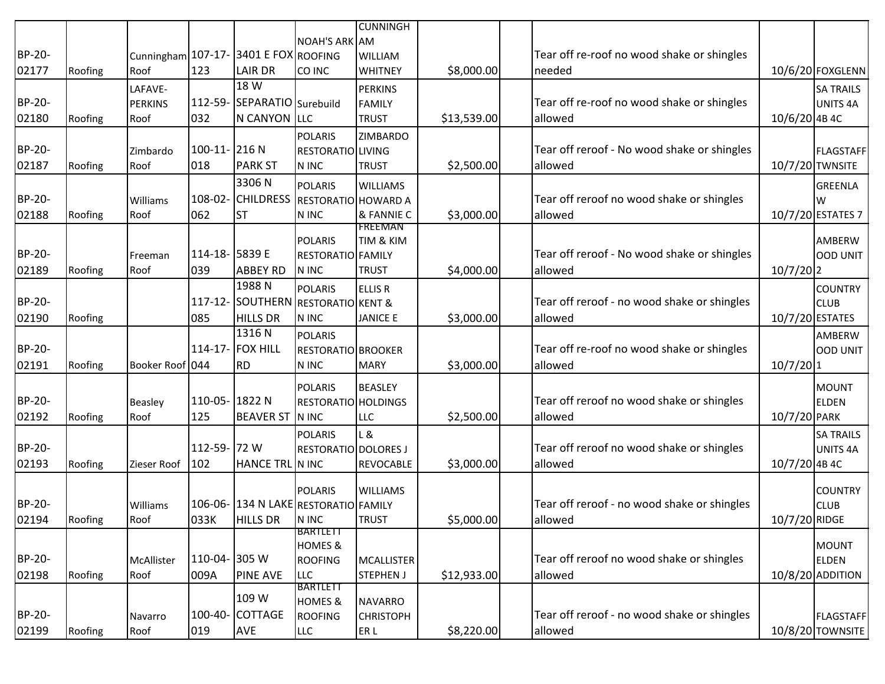|               |         |                  |                |                                       |                              | <b>CUNNINGH</b>  |             |                                             |                        |                               |
|---------------|---------|------------------|----------------|---------------------------------------|------------------------------|------------------|-------------|---------------------------------------------|------------------------|-------------------------------|
|               |         |                  |                |                                       | NOAH'S ARK AM                |                  |             |                                             |                        |                               |
| BP-20-        |         |                  |                | Cunningham 107-17- 3401 E FOX ROOFING |                              | WILLIAM          |             | Tear off re-roof no wood shake or shingles  |                        |                               |
| 02177         | Roofing | Roof             | 123            | <b>LAIR DR</b>                        | CO INC                       | <b>WHITNEY</b>   | \$8,000.00  | needed                                      |                        | 10/6/20 FOXGLENN              |
|               |         | LAFAVE-          |                | 18 W                                  |                              | <b>PERKINS</b>   |             |                                             |                        | <b>SA TRAILS</b>              |
| BP-20-        |         | <b>PERKINS</b>   |                | 112-59- SEPARATIO Surebuild           |                              | <b>FAMILY</b>    |             | Tear off re-roof no wood shake or shingles  |                        | <b>UNITS 4A</b>               |
| 02180         | Roofing | Roof             | 032            | N CANYON LLC                          |                              | <b>TRUST</b>     | \$13,539.00 | allowed                                     | 10/6/20 4B 4C          |                               |
|               |         |                  |                |                                       | <b>POLARIS</b>               | ZIMBARDO         |             |                                             |                        |                               |
| <b>BP-20-</b> |         | Zimbardo         | 100-11-216N    |                                       | RESTORATIO LIVING            |                  |             | Tear off reroof - No wood shake or shingles |                        | <b>FLAGSTAFF</b>              |
| 02187         | Roofing | Roof             | 018            | <b>PARK ST</b>                        | N INC                        | <b>TRUST</b>     | \$2,500.00  | allowed                                     | 10/7/20 TWNSITE        |                               |
|               |         |                  |                | 3306N                                 | <b>POLARIS</b>               | <b>WILLIAMS</b>  |             |                                             |                        | <b>GREENLA</b>                |
| BP-20-        |         | Williams         |                | 108-02- CHILDRESS RESTORATIO HOWARD A |                              |                  |             | Tear off reroof no wood shake or shingles   |                        | W                             |
| 02188         | Roofing | Roof             | 062            | <b>ST</b>                             | N INC                        | & FANNIE C       | \$3,000.00  | allowed                                     |                        | 10/7/20 ESTATES 7             |
|               |         |                  |                |                                       |                              | <b>FREEMAN</b>   |             |                                             |                        |                               |
| BP-20-        |         |                  | 114-18- 5839 E |                                       | <b>POLARIS</b>               | TIM & KIM        |             | Tear off reroof - No wood shake or shingles |                        | AMBERW                        |
|               |         | Freeman          |                |                                       | RESTORATIO FAMILY            |                  |             |                                             |                        | OOD UNIT                      |
| 02189         | Roofing | Roof             | 039            | <b>ABBEY RD</b><br>1988 <sub>N</sub>  | N INC                        | <b>TRUST</b>     | \$4,000.00  | allowed                                     | $10/7/20$ <sub>2</sub> |                               |
|               |         |                  |                |                                       | <b>POLARIS</b>               | <b>ELLIS R</b>   |             |                                             |                        | <b>COUNTRY</b>                |
| BP-20-        |         |                  | $117 - 12 -$   | SOUTHERN                              | <b>RESTORATIO KENT &amp;</b> |                  |             | Tear off reroof - no wood shake or shingles |                        | <b>CLUB</b>                   |
| 02190         | Roofing |                  | 085            | <b>HILLS DR</b>                       | N INC                        | <b>JANICE E</b>  | \$3,000.00  | allowed                                     | 10/7/20 ESTATES        |                               |
|               |         |                  |                | 1316N                                 | <b>POLARIS</b>               |                  |             |                                             |                        | AMBERW                        |
| BP-20-        |         |                  |                | 114-17- FOX HILL                      | RESTORATIO BROOKER           |                  |             | Tear off re-roof no wood shake or shingles  |                        | <b>OOD UNIT</b>               |
| 02191         | Roofing | Booker Roof 044  |                | <b>RD</b>                             | N INC                        | <b>MARY</b>      | \$3,000.00  | allowed                                     | $10/7/20$ 1            |                               |
|               |         |                  |                |                                       | <b>POLARIS</b>               | <b>BEASLEY</b>   |             |                                             |                        | <b>MOUNT</b>                  |
| <b>BP-20-</b> |         | <b>Beasley</b>   | 110-05-1822 N  |                                       | RESTORATIO HOLDINGS          |                  |             | Tear off reroof no wood shake or shingles   |                        | <b>ELDEN</b>                  |
| 02192         | Roofing | Roof             | 125            | <b>BEAVER ST</b>                      | N INC                        | <b>LLC</b>       | \$2,500.00  | allowed                                     | 10/7/20 PARK           |                               |
|               |         |                  |                |                                       | <b>POLARIS</b>               | L &              |             |                                             |                        | <b>SA TRAILS</b>              |
| BP-20-        |         |                  | 112-59-72 W    |                                       | RESTORATIO DOLORES J         |                  |             | Tear off reroof no wood shake or shingles   |                        | <b>UNITS 4A</b>               |
| 02193         | Roofing | Zieser Roof      | 102            | HANCE TRL N INC                       |                              | <b>REVOCABLE</b> | \$3,000.00  | allowed                                     | 10/7/20 4B 4C          |                               |
|               |         |                  |                |                                       |                              |                  |             |                                             |                        |                               |
| BP-20-        |         |                  |                | 106-06-134 N LAKE RESTORATIO FAMILY   | <b>POLARIS</b>               | <b>WILLIAMS</b>  |             | Tear off reroof - no wood shake or shingles |                        | <b>COUNTRY</b><br><b>CLUB</b> |
| 02194         | Roofing | Williams<br>Roof |                | 033K HILLS DR NINC                    |                              | <b>TRUST</b>     |             | allowed                                     | 10/7/20 RIDGE          |                               |
|               |         |                  |                |                                       | BARTLETT                     |                  | \$5,000.00  |                                             |                        |                               |
|               |         |                  |                |                                       | <b>HOMES &amp;</b>           |                  |             |                                             |                        | <b>MOUNT</b>                  |
| BP-20-        |         | McAllister       | 110-04- 305 W  |                                       | <b>ROOFING</b>               | MCALLISTER       |             | Tear off reroof no wood shake or shingles   |                        | <b>ELDEN</b>                  |
| 02198         | Roofing | Roof             | 009A           | <b>PINE AVE</b>                       | <b>LLC</b>                   | <b>STEPHEN J</b> | \$12,933.00 | allowed                                     |                        | 10/8/20 ADDITION              |
|               |         |                  |                |                                       | <b>BARTLETT</b>              |                  |             |                                             |                        |                               |
|               |         |                  |                | 109 W                                 | <b>HOMES &amp;</b>           | NAVARRO          |             |                                             |                        |                               |
| BP-20-        |         | Navarro          |                | 100-40- COTTAGE                       | <b>ROOFING</b>               | <b>CHRISTOPH</b> |             | Tear off reroof - no wood shake or shingles |                        | <b>FLAGSTAFF</b>              |
| 02199         | Roofing | Roof             | 019            | <b>AVE</b>                            | <b>LLC</b>                   | ER L             | \$8,220.00  | allowed                                     |                        | 10/8/20 TOWNSITE              |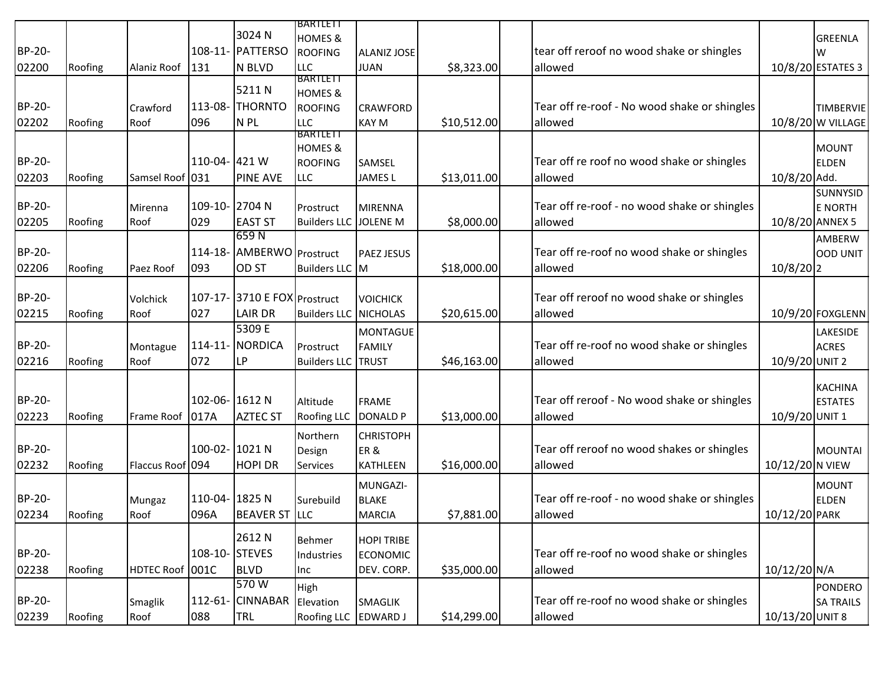|        |         |                  |                |                              | BARTLETT                  |                    |             |                                              |                 |                   |
|--------|---------|------------------|----------------|------------------------------|---------------------------|--------------------|-------------|----------------------------------------------|-----------------|-------------------|
|        |         |                  |                | 3024 N                       | <b>HOMES &amp;</b>        |                    |             |                                              |                 | GREENLA           |
| BP-20- |         |                  |                | 108-11- PATTERSO             | <b>ROOFING</b>            | <b>ALANIZ JOSE</b> |             | tear off reroof no wood shake or shingles    |                 | W                 |
| 02200  | Roofing | Alaniz Roof      | 131            | N BLVD                       | <b>LLC</b>                | <b>JUAN</b>        | \$8,323.00  | allowed                                      |                 | 10/8/20 ESTATES 3 |
|        |         |                  |                |                              | <b>BARTLETT</b>           |                    |             |                                              |                 |                   |
|        |         |                  |                | 5211N                        | <b>HOMES &amp;</b>        |                    |             |                                              |                 |                   |
| BP-20- |         | Crawford         | 113-08-        | <b>THORNTO</b>               | <b>ROOFING</b>            | <b>CRAWFORD</b>    |             | Tear off re-roof - No wood shake or shingles |                 | TIMBERVIE         |
| 02202  | Roofing | Roof             | 096            | N <sub>PL</sub>              | <b>LLC</b>                | <b>KAY M</b>       | \$10,512.00 | allowed                                      |                 | 10/8/20 W VILLAGE |
|        |         |                  |                |                              | <b>BARTLETT</b>           |                    |             |                                              |                 |                   |
|        |         |                  |                |                              | <b>HOMES &amp;</b>        |                    |             |                                              |                 | MOUNT             |
| BP-20- |         |                  | 110-04- 421 W  |                              | <b>ROOFING</b>            | SAMSEL             |             | Tear off re roof no wood shake or shingles   |                 | <b>ELDEN</b>      |
| 02203  | Roofing | Samsel Roof 031  |                | <b>PINE AVE</b>              | <b>LLC</b>                | <b>JAMES L</b>     | \$13,011.00 | allowed                                      | 10/8/20 Add.    |                   |
|        |         |                  |                |                              |                           |                    |             |                                              |                 | <b>SUNNYSID</b>   |
| BP-20- |         | Mirenna          | 109-10-2704 N  |                              | Prostruct                 | MIRENNA            |             | Tear off re-roof - no wood shake or shingles |                 | E NORTH           |
| 02205  | Roofing | Roof             | 029            | <b>EAST ST</b>               | Builders LLC JOLENE M     |                    | \$8,000.00  | allowed                                      | 10/8/20 ANNEX 5 |                   |
|        |         |                  |                | 659N                         |                           |                    |             |                                              |                 | AMBERW            |
| BP-20- |         |                  |                | 114-18- AMBERWO Prostruct    |                           | <b>PAEZ JESUS</b>  |             | Tear off re-roof no wood shake or shingles   |                 | OOD UNIT          |
| 02206  | Roofing | Paez Roof        | 093            | <b>OD ST</b>                 | Builders LLC M            |                    | \$18,000.00 | allowed                                      | $10/8/20$  2    |                   |
|        |         |                  |                |                              |                           |                    |             |                                              |                 |                   |
| BP-20- |         | Volchick         |                | 107-17- 3710 E FOX Prostruct |                           | <b>VOICHICK</b>    |             | Tear off reroof no wood shake or shingles    |                 |                   |
| 02215  | Roofing | Roof             | 027            | <b>LAIR DR</b>               | Builders LLC NICHOLAS     |                    | \$20,615.00 | allowed                                      |                 | 10/9/20 FOXGLENN  |
|        |         |                  |                | 5309 E                       |                           | <b>MONTAGUE</b>    |             |                                              |                 | <b>LAKESIDE</b>   |
| BP-20- |         | Montague         |                | 114-11- NORDICA              | Prostruct                 | <b>FAMILY</b>      |             | Tear off re-roof no wood shake or shingles   |                 | <b>ACRES</b>      |
| 02216  | Roofing | Roof             | 072            | <b>LP</b>                    | <b>Builders LLC TRUST</b> |                    | \$46,163.00 | allowed                                      | 10/9/20 UNIT 2  |                   |
|        |         |                  |                |                              |                           |                    |             |                                              |                 |                   |
|        |         |                  |                |                              |                           |                    |             |                                              |                 | <b>KACHINA</b>    |
| BP-20- |         |                  | 102-06-1612N   |                              | Altitude                  | <b>FRAME</b>       |             | Tear off reroof - No wood shake or shingles  |                 | <b>ESTATES</b>    |
| 02223  | Roofing | Frame Roof       | 017A           | <b>AZTEC ST</b>              | <b>Roofing LLC</b>        | DONALD P           | \$13,000.00 | allowed                                      | 10/9/20 UNIT 1  |                   |
|        |         |                  |                |                              | Northern                  | <b>CHRISTOPH</b>   |             |                                              |                 |                   |
| BP-20- |         |                  | 100-02-1021N   |                              |                           | ER&                |             | Tear off reroof no wood shakes or shingles   |                 | MOUNTAI           |
|        |         |                  |                |                              | Design                    |                    | \$16,000.00 |                                              |                 |                   |
| 02232  | Roofing | Flaccus Roof 094 |                | <b>HOPI DR</b>               | Services                  | KATHLEEN           |             | allowed                                      | 10/12/20 N VIEW |                   |
|        |         |                  |                |                              |                           | MUNGAZI-           |             |                                              |                 | MOUNT             |
| BP-20- |         | Mungaz           | 110-04- 1825 N |                              | Surebuild                 | <b>BLAKE</b>       |             | Tear off re-roof - no wood shake or shingles |                 | <b>ELDEN</b>      |
| 02234  | Roofing | Roof             | 096A           | <b>BEAVER ST LLC</b>         |                           | <b>MARCIA</b>      | \$7,881.00  | allowed                                      | 10/12/20 PARK   |                   |
|        |         |                  |                |                              |                           |                    |             |                                              |                 |                   |
|        |         |                  |                | 2612N                        | Behmer                    | <b>HOPI TRIBE</b>  |             |                                              |                 |                   |
| BP-20- |         |                  | 108-10- STEVES |                              | Industries                | <b>ECONOMIC</b>    |             | Tear off re-roof no wood shake or shingles   |                 |                   |
| 02238  | Roofing | HDTEC Roof 001C  |                | <b>BLVD</b>                  | Inc                       | DEV. CORP.         | \$35,000.00 | allowed                                      | 10/12/20 N/A    |                   |
|        |         |                  |                | 570W                         | High                      |                    |             |                                              |                 | PONDERO           |
| BP-20- |         | Smaglik          |                | 112-61- CINNABAR             | Elevation                 | SMAGLIK            |             | Tear off re-roof no wood shake or shingles   |                 | <b>SA TRAILS</b>  |
| 02239  | Roofing | Roof             | 088            | TRL                          | <b>Roofing LLC</b>        | EDWARD J           | \$14,299.00 | allowed                                      | 10/13/20 UNIT 8 |                   |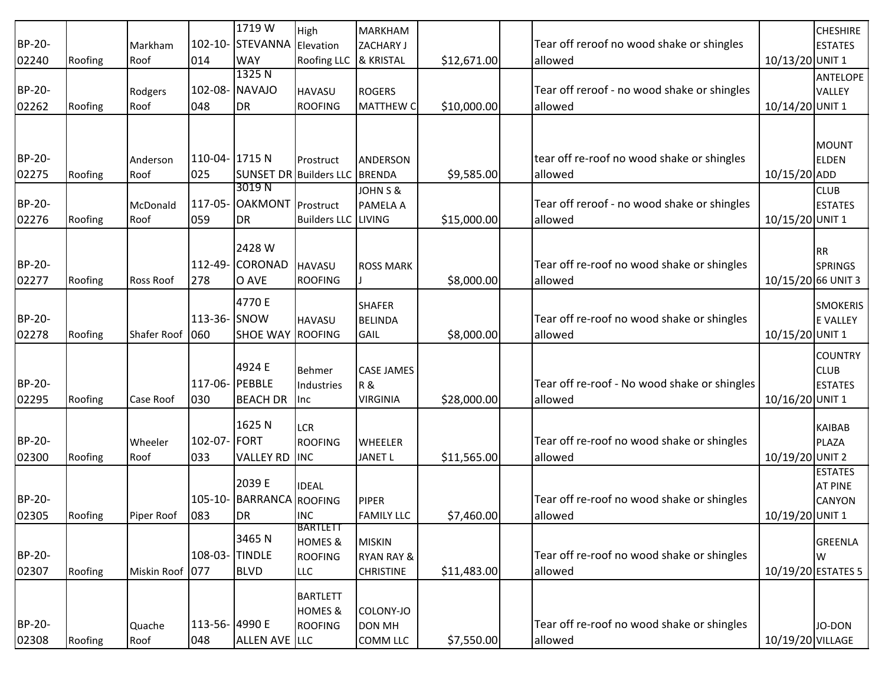|        |         |                  |                | 1719 W                        | High                                 | MARKHAM                                |             |                                              |                    | <b>CHESHIRE</b>       |
|--------|---------|------------------|----------------|-------------------------------|--------------------------------------|----------------------------------------|-------------|----------------------------------------------|--------------------|-----------------------|
| BP-20- |         | Markham          |                | 102-10- STEVANNA Elevation    |                                      | ZACHARY J                              |             | Tear off reroof no wood shake or shingles    |                    | <b>ESTATES</b>        |
| 02240  | Roofing | Roof             | 014            | <b>WAY</b>                    | Roofing LLC                          | & KRISTAL                              | \$12,671.00 | allowed                                      | 10/13/20 UNIT 1    |                       |
|        |         |                  |                | 1325N                         |                                      |                                        |             |                                              |                    | <b>ANTELOPE</b>       |
| BP-20- |         | Rodgers          |                | 102-08- NAVAJO                | <b>HAVASU</b>                        | ROGERS                                 |             | Tear off reroof - no wood shake or shingles  |                    | VALLEY                |
| 02262  | Roofing | Roof             | 048            | <b>DR</b>                     | <b>ROOFING</b>                       | <b>MATTHEW C</b>                       | \$10,000.00 | allowed                                      | 10/14/20 UNIT 1    |                       |
|        |         |                  |                |                               |                                      |                                        |             |                                              |                    |                       |
|        |         |                  |                |                               |                                      |                                        |             |                                              |                    |                       |
| BP-20- |         |                  | 110-04- 1715 N |                               |                                      |                                        |             | tear off re-roof no wood shake or shingles   |                    | MOUNT<br><b>ELDEN</b> |
|        |         | Anderson         |                | SUNSET DR Builders LLC BRENDA | Prostruct                            | <b>ANDERSON</b>                        |             |                                              |                    |                       |
| 02275  | Roofing | Roof             | 025            | 3019 N                        |                                      |                                        | \$9,585.00  | allowed                                      | 10/15/20 ADD       |                       |
| BP-20- |         |                  |                | 117-05- OAKMONT Prostruct     |                                      | JOHN S &                               |             | Tear off reroof - no wood shake or shingles  |                    | <b>CLUB</b>           |
| 02276  |         | McDonald<br>Roof | 059            | <b>DR</b>                     | Builders LLC LIVING                  | <b>PAMELA A</b>                        | \$15,000.00 | allowed                                      | 10/15/20 UNIT 1    | <b>ESTATES</b>        |
|        | Roofing |                  |                |                               |                                      |                                        |             |                                              |                    |                       |
|        |         |                  |                | 2428 W                        |                                      |                                        |             |                                              |                    |                       |
| BP-20- |         |                  |                | 112-49- CORONAD               | <b>HAVASU</b>                        | <b>ROSS MARK</b>                       |             | Tear off re-roof no wood shake or shingles   |                    | RR<br><b>SPRINGS</b>  |
| 02277  | Roofing | <b>Ross Roof</b> | 278            | O AVE                         | <b>ROOFING</b>                       |                                        | \$8,000.00  | allowed                                      | 10/15/20 66 UNIT 3 |                       |
|        |         |                  |                |                               |                                      |                                        |             |                                              |                    |                       |
|        |         |                  |                | 4770 E                        |                                      | <b>SHAFER</b>                          |             |                                              |                    | <b>SMOKERIS</b>       |
| BP-20- |         |                  | 113-36- SNOW   |                               | <b>HAVASU</b>                        | BELINDA                                |             | Tear off re-roof no wood shake or shingles   |                    | <b>E VALLEY</b>       |
| 02278  | Roofing | Shafer Roof 060  |                | <b>SHOE WAY ROOFING</b>       |                                      | GAIL                                   | \$8,000.00  | allowed                                      | 10/15/20 UNIT 1    |                       |
|        |         |                  |                |                               |                                      |                                        |             |                                              |                    | <b>COUNTRY</b>        |
|        |         |                  |                | 4924 E                        | <b>Behmer</b>                        | <b>CASE JAMES</b>                      |             |                                              |                    | <b>CLUB</b>           |
| BP-20- |         |                  | 117-06- PEBBLE |                               | Industries                           | R&                                     |             | Tear off re-roof - No wood shake or shingles |                    | <b>ESTATES</b>        |
| 02295  | Roofing | Case Roof        | 030            | <b>BEACH DR</b>               | Inc.                                 | <b>VIRGINIA</b>                        | \$28,000.00 | allowed                                      | 10/16/20 UNIT 1    |                       |
|        |         |                  |                |                               |                                      |                                        |             |                                              |                    |                       |
|        |         |                  |                | 1625N                         | <b>LCR</b>                           |                                        |             |                                              |                    | KAIBAB                |
| BP-20- |         | Wheeler          | 102-07- FORT   |                               | <b>ROOFING</b>                       | WHEELER                                |             | Tear off re-roof no wood shake or shingles   |                    | PLAZA                 |
| 02300  | Roofing | Roof             | 033            | VALLEY RD INC                 |                                      | <b>JANET L</b>                         | \$11,565.00 | allowed                                      | 10/19/20 UNIT 2    |                       |
|        |         |                  |                |                               |                                      |                                        |             |                                              |                    | <b>ESTATES</b>        |
|        |         |                  |                | 2039 E                        | <b>IDEAL</b>                         |                                        |             |                                              |                    | <b>AT PINE</b>        |
| BP-20- |         |                  |                | 105-10- BARRANCA ROOFING      |                                      | PIPER                                  |             | Tear off re-roof no wood shake or shingles   |                    | <b>CANYON</b>         |
| 02305  | Roofing | Piper Roof       | 083            | DR                            | <b>INC</b>                           | <b>FAMILY LLC</b>                      | \$7,460.00  | allowed                                      | 10/19/20 UNIT 1    |                       |
|        |         |                  |                | 3465N                         | <b>BARTLETT</b>                      |                                        |             |                                              |                    |                       |
| BP-20- |         |                  | 108-03-TINDLE  |                               | <b>HOMES &amp;</b><br><b>ROOFING</b> | <b>MISKIN</b><br><b>RYAN RAY &amp;</b> |             | Tear off re-roof no wood shake or shingles   |                    | <b>GREENLA</b><br>W   |
| 02307  | Roofing | Miskin Roof 077  |                | <b>BLVD</b>                   | <b>LLC</b>                           | <b>CHRISTINE</b>                       | \$11,483.00 | allowed                                      |                    | 10/19/20 ESTATES 5    |
|        |         |                  |                |                               |                                      |                                        |             |                                              |                    |                       |
|        |         |                  |                |                               | <b>BARTLETT</b>                      |                                        |             |                                              |                    |                       |
|        |         |                  |                |                               | <b>HOMES &amp;</b>                   | COLONY-JO                              |             |                                              |                    |                       |
| BP-20- |         | Quache           | 113-56-4990 E  |                               | <b>ROOFING</b>                       | DON MH                                 |             | Tear off re-roof no wood shake or shingles   |                    | JO-DON                |
| 02308  | Roofing | Roof             | 048            | ALLEN AVE LLC                 |                                      | COMM LLC                               | \$7,550.00  | allowed                                      | 10/19/20 VILLAGE   |                       |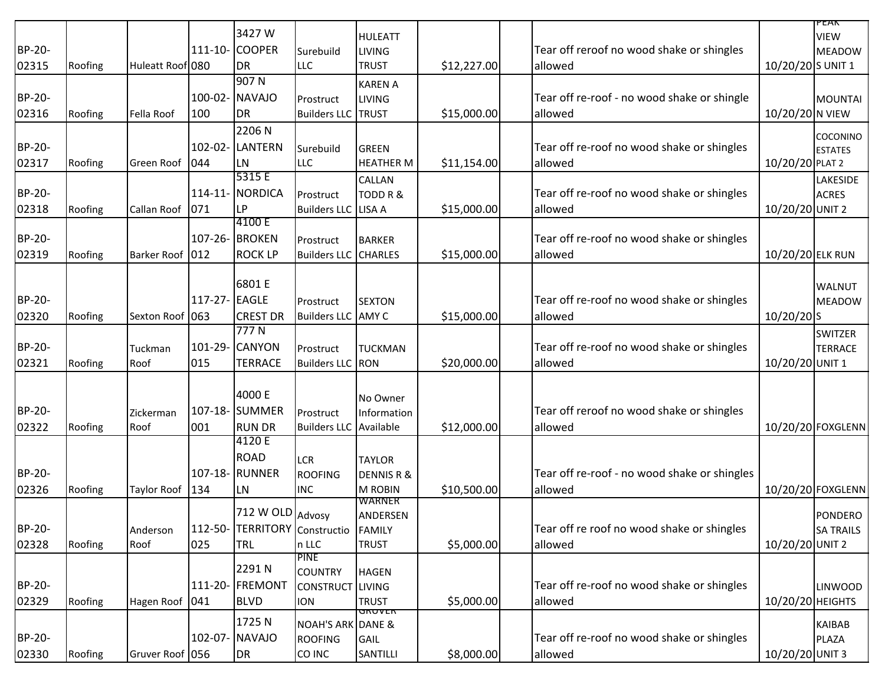|               |         |                  |              |                       |                              |                         |             |                                              |                   | PEAN                            |
|---------------|---------|------------------|--------------|-----------------------|------------------------------|-------------------------|-------------|----------------------------------------------|-------------------|---------------------------------|
|               |         |                  |              | 3427W                 |                              | <b>HULEATT</b>          |             |                                              |                   | <b>VIEW</b>                     |
| BP-20-        |         |                  | $111 - 10 -$ | <b>COOPER</b>         | Surebuild                    | <b>LIVING</b>           |             | Tear off reroof no wood shake or shingles    |                   | MEADOW                          |
| 02315         | Roofing | Huleatt Roof 080 |              | DR                    | LLC                          | <b>TRUST</b>            | \$12,227.00 | allowed                                      | 10/20/20 S UNIT 1 |                                 |
|               |         |                  |              | 907N                  |                              | <b>KAREN A</b>          |             |                                              |                   |                                 |
| BP-20-        |         |                  | $100-02-$    | <b>NAVAJO</b>         | Prostruct                    | <b>LIVING</b>           |             | Tear off re-roof - no wood shake or shingle  |                   | MOUNTAI                         |
| 02316         | Roofing | Fella Roof       | 100          | DR                    | <b>Builders LLC TRUST</b>    |                         | \$15,000.00 | allowed                                      | 10/20/20 N VIEW   |                                 |
|               |         |                  |              | 2206N                 |                              |                         |             |                                              |                   |                                 |
| BP-20-        |         |                  | $102 - 02 -$ | <b>LANTERN</b>        |                              | <b>GREEN</b>            |             | Tear off re-roof no wood shake or shingles   |                   | COCONINO                        |
| 02317         | Roofing | Green Roof       | 044          | <b>LN</b>             | Surebuild<br><b>LLC</b>      | <b>HEATHER M</b>        | \$11,154.00 | allowed                                      | 10/20/20 PLAT 2   | <b>ESTATES</b>                  |
|               |         |                  |              | 5315 E                |                              |                         |             |                                              |                   |                                 |
| <b>BP-20-</b> |         |                  | $114 - 11$   | <b>NORDICA</b>        | Prostruct                    | CALLAN<br>TODD R &      |             | Tear off re-roof no wood shake or shingles   |                   | <b>LAKESIDE</b><br><b>ACRES</b> |
| 02318         | Roofing | Callan Roof      | 071          | LP                    | <b>Builders LLC</b>          | LISA A                  | \$15,000.00 | allowed                                      | 10/20/20 UNIT 2   |                                 |
|               |         |                  |              | 4100 E                |                              |                         |             |                                              |                   |                                 |
| BP-20-        |         |                  | $107 - 26 -$ | <b>BROKEN</b>         | Prostruct                    | <b>BARKER</b>           |             | Tear off re-roof no wood shake or shingles   |                   |                                 |
| 02319         | Roofing | Barker Roof 012  |              | <b>ROCK LP</b>        | <b>Builders LLC</b>          | <b>CHARLES</b>          | \$15,000.00 | allowed                                      | 10/20/20 ELK RUN  |                                 |
|               |         |                  |              |                       |                              |                         |             |                                              |                   |                                 |
|               |         |                  |              | 6801 E                |                              |                         |             |                                              |                   | <b>WALNUT</b>                   |
| BP-20-        |         |                  | $117 - 27 -$ | <b>EAGLE</b>          | Prostruct                    | <b>SEXTON</b>           |             | Tear off re-roof no wood shake or shingles   |                   | MEADOW                          |
| 02320         | Roofing | Sexton Roof 063  |              | <b>CREST DR</b>       | <b>Builders LLC</b>          | AMY C                   | \$15,000.00 | allowed                                      | 10/20/20 S        |                                 |
|               |         |                  |              | 777N                  |                              |                         |             |                                              |                   | <b>SWITZER</b>                  |
| BP-20-        |         | Tuckman          | 101-29-      | <b>CANYON</b>         | Prostruct                    | <b>TUCKMAN</b>          |             | Tear off re-roof no wood shake or shingles   |                   | <b>TERRACE</b>                  |
| 02321         | Roofing | Roof             | 015          | <b>TERRACE</b>        | <b>Builders LLC</b>          | RON                     | \$20,000.00 | allowed                                      | 10/20/20 UNIT 1   |                                 |
|               |         |                  |              |                       |                              |                         |             |                                              |                   |                                 |
|               |         |                  |              | 4000 E                |                              |                         |             |                                              |                   |                                 |
| BP-20-        |         | Zickerman        |              | 107-18- SUMMER        | Prostruct                    | No Owner<br>Information |             | Tear off reroof no wood shake or shingles    |                   |                                 |
| 02322         | Roofing | Roof             | 001          | <b>RUN DR</b>         | <b>Builders LLC</b>          | Available               | \$12,000.00 | allowed                                      |                   | 10/20/20 FOXGLENN               |
|               |         |                  |              | 4120 E                |                              |                         |             |                                              |                   |                                 |
|               |         |                  |              | <b>ROAD</b>           |                              | <b>TAYLOR</b>           |             |                                              |                   |                                 |
| BP-20-        |         |                  |              | 107-18- RUNNER        | <b>LCR</b><br><b>ROOFING</b> | <b>DENNIS R &amp;</b>   |             | Tear off re-roof - no wood shake or shingles |                   |                                 |
| 02326         | Roofing | Taylor Roof      | 134          | LN                    | <b>INC</b>                   | M ROBIN                 | \$10,500.00 | allowed                                      |                   | 10/20/20 FOXGLENN               |
|               |         |                  |              |                       |                              | WARNER                  |             |                                              |                   |                                 |
|               |         |                  |              | 712 W OLD Advosy      |                              | ANDERSEN                |             |                                              |                   | <b>PONDERO</b>                  |
| BP-20-        |         | Anderson         | $112 - 50 -$ | TERRITORY Constructio |                              | <b>FAMILY</b>           |             | Tear off re roof no wood shake or shingles   |                   | <b>SA TRAILS</b>                |
| 02328         | Roofing | Roof             | 025          | TRL                   | n LLC                        | <b>TRUST</b>            | \$5,000.00  | allowed                                      | 10/20/20 UNIT 2   |                                 |
|               |         |                  |              |                       | <b>PINE</b>                  |                         |             |                                              |                   |                                 |
|               |         |                  |              | 2291N                 | <b>COUNTRY</b>               | <b>HAGEN</b>            |             |                                              |                   |                                 |
| BP-20-        |         |                  |              | 111-20- FREMONT       | CONSTRUCT LIVING             |                         |             | Tear off re-roof no wood shake or shingles   |                   | LINWOOD                         |
| 02329         | Roofing | Hagen Roof 041   |              | <b>BLVD</b>           | <b>ION</b>                   | <b>TRUST</b><br>unuvch  | \$5,000.00  | allowed                                      | 10/20/20 HEIGHTS  |                                 |
|               |         |                  |              | 1725N                 | <b>NOAH'S ARK DANE &amp;</b> |                         |             |                                              |                   | KAIBAB                          |
| BP-20-        |         |                  |              | 102-07- NAVAJO        | <b>ROOFING</b>               | <b>GAIL</b>             |             | Tear off re-roof no wood shake or shingles   |                   | PLAZA                           |
| 02330         | Roofing | Gruver Roof 056  |              | <b>DR</b>             | CO INC                       | SANTILLI                | \$8,000.00  | allowed                                      | 10/20/20 UNIT 3   |                                 |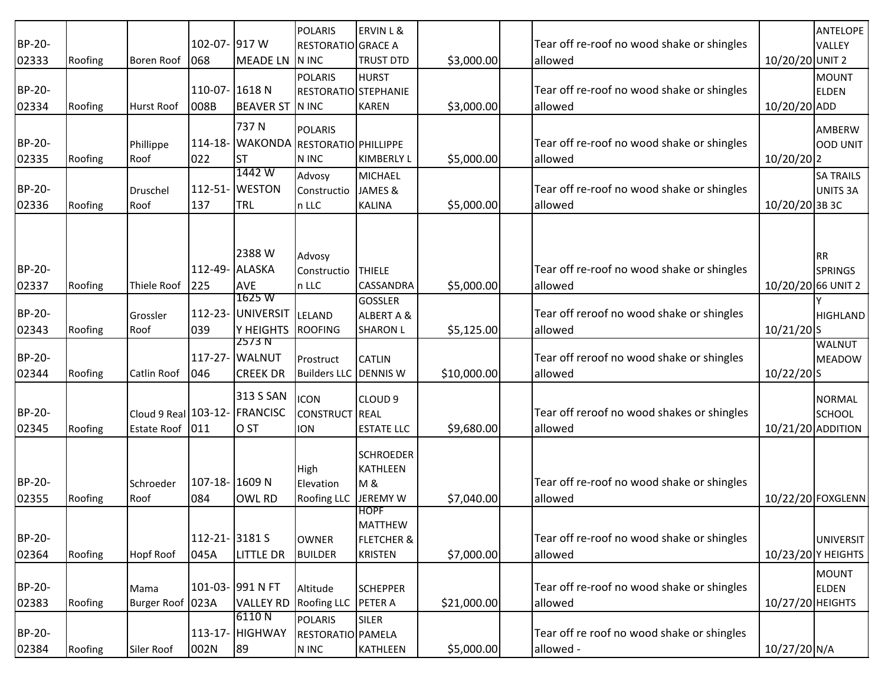|               |         |                               |               |                    | <b>POLARIS</b>       | <b>ERVIN L &amp;</b>  |             |                                            |                    | <b>ANTELOPE</b>    |
|---------------|---------|-------------------------------|---------------|--------------------|----------------------|-----------------------|-------------|--------------------------------------------|--------------------|--------------------|
| BP-20-        |         |                               | 102-07- 917 W |                    | RESTORATIO GRACE A   |                       |             | Tear off re-roof no wood shake or shingles |                    | VALLEY             |
| 02333         | Roofing | <b>Boren Roof</b>             | 068           | <b>MEADE LN</b>    | N INC                | <b>TRUST DTD</b>      | \$3,000.00  | allowed                                    | 10/20/20 UNIT 2    |                    |
|               |         |                               |               |                    | <b>POLARIS</b>       | <b>HURST</b>          |             |                                            |                    | <b>MOUNT</b>       |
| BP-20-        |         |                               | $110-07$ -    | 1618N              | RESTORATIO STEPHANIE |                       |             | Tear off re-roof no wood shake or shingles |                    | <b>ELDEN</b>       |
| 02334         | Roofing | <b>Hurst Roof</b>             | 008B          | <b>BEAVER ST</b>   | N INC                | <b>KAREN</b>          | \$3,000.00  | allowed                                    | 10/20/20 ADD       |                    |
|               |         |                               |               | 737N               |                      |                       |             |                                            |                    |                    |
| BP-20-        |         |                               | $114 - 18$ -  | <b>WAKONDA</b>     | <b>POLARIS</b>       |                       |             | Tear off re-roof no wood shake or shingles |                    | AMBERW             |
|               |         | Phillippe                     | 022           |                    | RESTORATIO PHILLIPPE |                       |             |                                            |                    | OOD UNIT           |
| 02335         | Roofing | Roof                          |               | <b>ST</b><br>1442W | N INC                | <b>KIMBERLY L</b>     | \$5,000.00  | allowed                                    | 10/20/20 2         |                    |
| BP-20-        |         |                               | $112 - 51 -$  | <b>WESTON</b>      | Advosy               | <b>MICHAEL</b>        |             |                                            |                    | <b>SA TRAILS</b>   |
|               |         | Druschel                      |               |                    | Constructio          | JAMES &               |             | Tear off re-roof no wood shake or shingles |                    | UNITS 3A           |
| 02336         | Roofing | Roof                          | 137           | TRL                | n LLC                | <b>KALINA</b>         | \$5,000.00  | allowed                                    | 10/20/20 3B 3C     |                    |
|               |         |                               |               |                    |                      |                       |             |                                            |                    |                    |
|               |         |                               |               |                    |                      |                       |             |                                            |                    |                    |
|               |         |                               |               | 2388W              | Advosy               |                       |             |                                            |                    | <b>RR</b>          |
| BP-20-        |         |                               | 112-49-       | <b>ALASKA</b>      | Constructio          | <b>THIELE</b>         |             | Tear off re-roof no wood shake or shingles |                    | <b>SPRINGS</b>     |
| 02337         | Roofing | Thiele Roof                   | 225           | AVE                | n LLC                | CASSANDRA             | \$5,000.00  | allowed                                    | 10/20/20 66 UNIT 2 |                    |
|               |         |                               |               | 1625 W             |                      | GOSSLER               |             |                                            |                    |                    |
| BP-20-        |         | Grossler                      |               | 112-23- UNIVERSIT  | LELAND               | ALBERT A &            |             | Tear off reroof no wood shake or shingles  |                    | HIGHLAND           |
| 02343         | Roofing | Roof                          | 039           | Y HEIGHTS          | <b>ROOFING</b>       | <b>SHARON L</b>       | \$5,125.00  | allowed                                    | $10/21/20$ S       |                    |
|               |         |                               |               | 2573 N             |                      |                       |             |                                            |                    | <b>WALNUT</b>      |
| <b>BP-20-</b> |         |                               |               | 117-27- WALNUT     | Prostruct            | <b>CATLIN</b>         |             | Tear off reroof no wood shake or shingles  |                    | MEADOW             |
| 02344         | Roofing | Catlin Roof                   | 046           | <b>CREEK DR</b>    | <b>Builders LLC</b>  | <b>DENNIS W</b>       | \$10,000.00 | allowed                                    | $10/22/20$ S       |                    |
|               |         |                               |               | 313 S SAN          | <b>ICON</b>          | CLOUD <sub>9</sub>    |             |                                            |                    | NORMAL             |
| BP-20-        |         | Cloud 9 Real 103-12- FRANCISC |               |                    | CONSTRUCT REAL       |                       |             | Tear off reroof no wood shakes or shingles |                    | <b>SCHOOL</b>      |
| 02345         | Roofing | Estate Roof 011               |               | O ST               | <b>ION</b>           | <b>ESTATE LLC</b>     | \$9,680.00  | allowed                                    | 10/21/20 ADDITION  |                    |
|               |         |                               |               |                    |                      |                       |             |                                            |                    |                    |
|               |         |                               |               |                    |                      | <b>SCHROEDER</b>      |             |                                            |                    |                    |
|               |         |                               |               |                    | High                 | KATHLEEN              |             |                                            |                    |                    |
| BP-20-        |         | Schroeder                     | 107-18-1609N  |                    | Elevation            | <b>M&amp;</b>         |             | Tear off re-roof no wood shake or shingles |                    |                    |
| 02355         | Roofing | Roof                          | 084           | OWL RD             | Roofing LLC          | JEREMY W              | \$7,040.00  | allowed                                    |                    | 10/22/20 FOXGLENN  |
|               |         |                               |               |                    |                      | <b>HOPF</b>           |             |                                            |                    |                    |
|               |         |                               |               |                    |                      | <b>MATTHEW</b>        |             |                                            |                    |                    |
| BP-20-        |         |                               | 112-21-3181 S |                    | <b>OWNER</b>         | <b>FLETCHER &amp;</b> |             | Tear off re-roof no wood shake or shingles |                    | UNIVERSIT          |
| 02364         | Roofing | <b>Hopf Roof</b>              | 045A          | LITTLE DR          | <b>BUILDER</b>       | <b>KRISTEN</b>        | \$7,000.00  | allowed                                    |                    | 10/23/20 Y HEIGHTS |
|               |         |                               |               |                    |                      |                       |             |                                            |                    | MOUNT              |
| BP-20-        |         | Mama                          |               | 101-03- 991 N FT   | Altitude             | <b>SCHEPPER</b>       |             | Tear off re-roof no wood shake or shingles |                    | <b>ELDEN</b>       |
| 02383         | Roofing | Burger Roof 023A              |               | <b>VALLEY RD</b>   | Roofing LLC          | PETER A               | \$21,000.00 | allowed                                    | 10/27/20 HEIGHTS   |                    |
|               |         |                               |               | 6110N              | <b>POLARIS</b>       | <b>SILER</b>          |             |                                            |                    |                    |
| BP-20-        |         |                               |               | 113-17- HIGHWAY    | RESTORATIO PAMELA    |                       |             | Tear off re roof no wood shake or shingles |                    |                    |
| 02384         | Roofing | Siler Roof                    | 002N          | 89                 | N INC                | KATHLEEN              | \$5,000.00  | allowed -                                  | 10/27/20 N/A       |                    |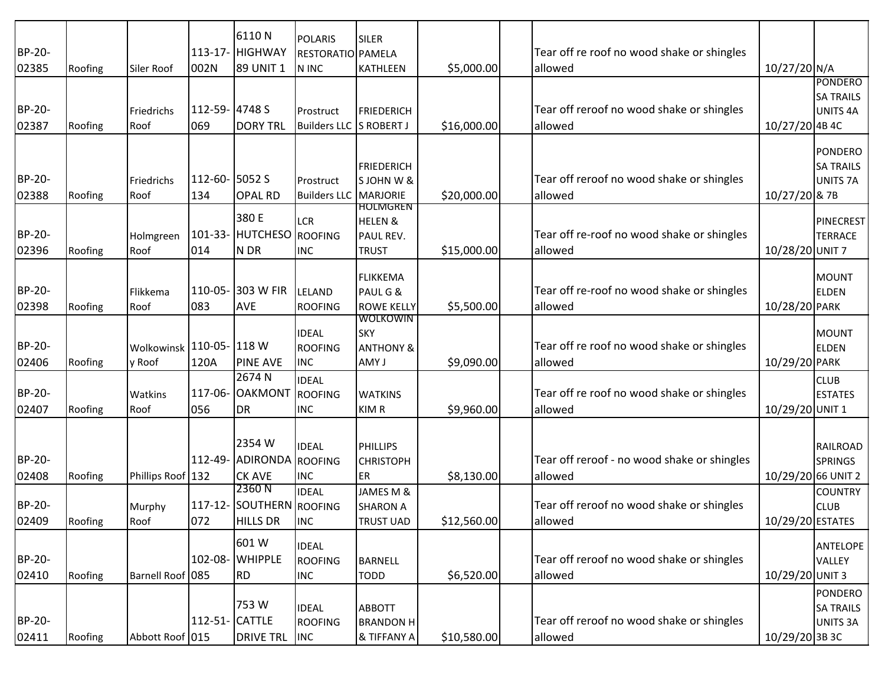| BP-20-<br>02385        | Roofing | Siler Roof           | 002N                  | 6110N<br>113-17- HIGHWAY<br>89 UNIT 1                 | <b>POLARIS</b><br><b>RESTORATIO PAMELA</b><br>N INC | SILER<br>KATHLEEN                                                  | \$5,000.00  | Tear off re roof no wood shake or shingles<br>allowed  | 10/27/20 N/A       |                                                           |
|------------------------|---------|----------------------|-----------------------|-------------------------------------------------------|-----------------------------------------------------|--------------------------------------------------------------------|-------------|--------------------------------------------------------|--------------------|-----------------------------------------------------------|
| BP-20-<br>02387        | Roofing | Friedrichs<br>Roof   | 112-59-4748 S<br>069  | <b>DORY TRL</b>                                       | Prostruct<br>Builders LLC S ROBERT J                | FRIEDERICH                                                         | \$16,000.00 | Tear off reroof no wood shake or shingles<br>allowed   | 10/27/20 4B 4C     | <b>PONDERO</b><br><b>SA TRAILS</b><br>UNITS <sub>4A</sub> |
| BP-20-<br>02388        | Roofing | Friedrichs<br>Roof   | 112-60- 5052 S<br>134 | <b>OPAL RD</b>                                        | Prostruct<br><b>Builders LLC MARJORIE</b>           | FRIEDERICH<br>S JOHN W &                                           | \$20,000.00 | Tear off reroof no wood shake or shingles<br>allowed   | 10/27/20 & 7B      | PONDERO<br><b>SA TRAILS</b><br>UNITS <sub>7A</sub>        |
| BP-20-<br>02396        | Roofing | Holmgreen<br>Roof    | 014                   | 380 E<br>101-33- HUTCHESO<br>N DR                     | LCR<br><b>ROOFING</b><br>INC                        | <b>HOLMGREN</b><br><b>HELEN &amp;</b><br>PAUL REV.<br><b>TRUST</b> | \$15,000.00 | Tear off re-roof no wood shake or shingles<br>allowed  | 10/28/20 UNIT 7    | PINECREST<br><b>TERRACE</b>                               |
| BP-20-<br>02398        | Roofing | Flikkema<br>Roof     | 083                   | 110-05- 303 W FIR<br>AVE                              | LELAND<br><b>ROOFING</b>                            | FLIKKEMA<br>PAUL G &<br><b>ROWE KELLY</b>                          | \$5,500.00  | Tear off re-roof no wood shake or shingles<br>allowed  | 10/28/20 PARK      | MOUNT<br><b>ELDEN</b>                                     |
| BP-20-<br>02406        | Roofing | Wolkowinsk<br>y Roof | 110-05-118 W<br>120A  | <b>PINE AVE</b>                                       | <b>IDEAL</b><br><b>ROOFING</b><br><b>INC</b>        | WOLKOWIN<br>SKY<br><b>ANTHONY &amp;</b><br>AMY J                   | \$9,090.00  | Tear off re roof no wood shake or shingles<br>allowed  | 10/29/20 PARK      | MOUNT<br><b>ELDEN</b>                                     |
| BP-20-<br>02407        | Roofing | Watkins<br>Roof      | 056                   | 2674 N<br>117-06- OAKMONT<br>DR                       | <b>IDEAL</b><br><b>ROOFING</b><br><b>INC</b>        | <b>WATKINS</b><br>KIM R                                            | \$9,960.00  | Tear off re roof no wood shake or shingles<br>allowed  | 10/29/20 UNIT 1    | <b>CLUB</b><br><b>ESTATES</b>                             |
| <b>BP-20-</b><br>02408 | Roofing | Phillips Roof 132    |                       | 2354 W<br>112-49- ADIRONDA ROOFING<br><b>CK AVE</b>   | <b>IDEAL</b><br><b>INC</b>                          | PHILLIPS<br><b>CHRISTOPH</b><br>ER <sub>.</sub>                    | \$8,130.00  | Tear off reroof - no wood shake or shingles<br>allowed | 10/29/20 66 UNIT 2 | RAILROAD<br><b>SPRINGS</b>                                |
| BP-20-<br>02409        | Roofing | Murphy<br>Roof       | 072                   | 2360 N<br>117-12- SOUTHERN ROOFING<br><b>HILLS DR</b> | <b>IDEAL</b><br><b>INC</b>                          | JAMES M &<br><b>SHARON A</b><br><b>TRUST UAD</b>                   | \$12,560.00 | Tear off reroof no wood shake or shingles<br>allowed   | 10/29/20 ESTATES   | <b>COUNTRY</b><br><b>CLUB</b>                             |
| BP-20-<br>02410        | Roofing | Barnell Roof 085     |                       | 601 W<br>102-08- WHIPPLE<br><b>RD</b>                 | <b>IDEAL</b><br><b>ROOFING</b><br><b>INC</b>        | BARNELL<br><b>TODD</b>                                             | \$6,520.00  | Tear off reroof no wood shake or shingles<br>allowed   | 10/29/20 UNIT 3    | ANTELOPE<br>VALLEY                                        |
| BP-20-<br>02411        | Roofing | Abbott Roof 015      | 112-51- CATTLE        | 753W<br>DRIVE TRL INC                                 | <b>IDEAL</b><br><b>ROOFING</b>                      | ABBOTT<br><b>BRANDON H</b><br>& TIFFANY A                          | \$10,580.00 | Tear off reroof no wood shake or shingles<br>allowed   | 10/29/20 3B 3C     | PONDERO<br><b>SA TRAILS</b><br>UNITS 3A                   |